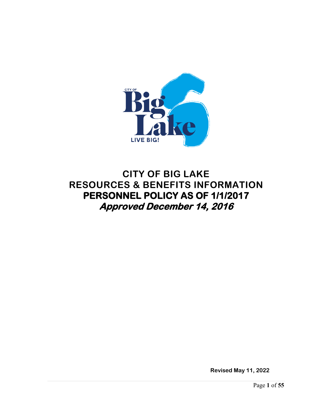

# **CITY OF BIG LAKE RESOURCES & BENEFITS INFORMATION PERSONNEL POLICY AS OF 1/1/2017 Approved December 14, 2016**

**Revised May 11, 2022**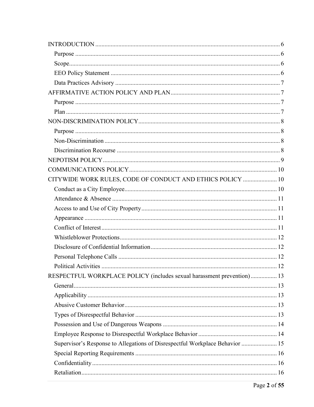| CITYWIDE WORK RULES, CODE OF CONDUCT AND ETHICS POLICY  10                   |  |
|------------------------------------------------------------------------------|--|
|                                                                              |  |
|                                                                              |  |
|                                                                              |  |
|                                                                              |  |
|                                                                              |  |
|                                                                              |  |
|                                                                              |  |
|                                                                              |  |
|                                                                              |  |
| RESPECTFUL WORKPLACE POLICY (includes sexual harassment prevention) 13       |  |
|                                                                              |  |
|                                                                              |  |
|                                                                              |  |
|                                                                              |  |
|                                                                              |  |
|                                                                              |  |
| Supervisor's Response to Allegations of Disrespectful Workplace Behavior  15 |  |
|                                                                              |  |
|                                                                              |  |
|                                                                              |  |
|                                                                              |  |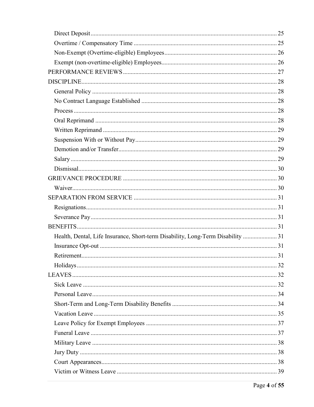| Health, Dental, Life Insurance, Short-term Disability, Long-Term Disability  31 |  |
|---------------------------------------------------------------------------------|--|
|                                                                                 |  |
|                                                                                 |  |
|                                                                                 |  |
|                                                                                 |  |
|                                                                                 |  |
|                                                                                 |  |
|                                                                                 |  |
|                                                                                 |  |
|                                                                                 |  |
|                                                                                 |  |
|                                                                                 |  |
|                                                                                 |  |
|                                                                                 |  |
|                                                                                 |  |
|                                                                                 |  |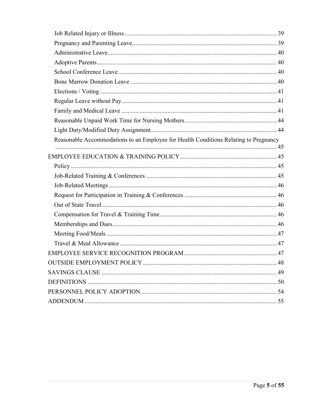| Reasonable Accommodations to an Employee for Health Conditions Relating to Pregnancy |  |
|--------------------------------------------------------------------------------------|--|
|                                                                                      |  |
|                                                                                      |  |
|                                                                                      |  |
|                                                                                      |  |
|                                                                                      |  |
|                                                                                      |  |
|                                                                                      |  |
|                                                                                      |  |
|                                                                                      |  |
|                                                                                      |  |
|                                                                                      |  |
|                                                                                      |  |
|                                                                                      |  |
|                                                                                      |  |
|                                                                                      |  |
|                                                                                      |  |
|                                                                                      |  |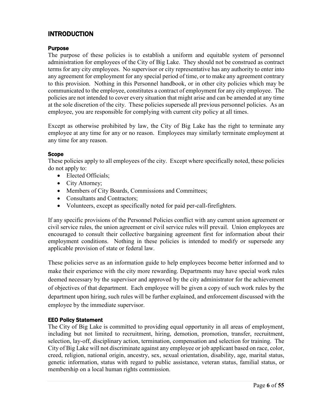# <span id="page-5-0"></span>INTRODUCTION

# <span id="page-5-1"></span>Purpose

The purpose of these policies is to establish a uniform and equitable system of personnel administration for employees of the City of Big Lake. They should not be construed as contract terms for any city employees. No supervisor or city representative has any authority to enter into any agreement for employment for any special period of time, or to make any agreement contrary to this provision. Nothing in this Personnel handbook, or in other city policies which may be communicated to the employee, constitutes a contract of employment for any city employee. The policies are not intended to cover every situation that might arise and can be amended at any time at the sole discretion of the city. These policies supersede all previous personnel policies. As an employee, you are responsible for complying with current city policy at all times.

Except as otherwise prohibited by law, the City of Big Lake has the right to terminate any employee at any time for any or no reason. Employees may similarly terminate employment at any time for any reason.

#### <span id="page-5-2"></span>Scope

These policies apply to all employees of the city. Except where specifically noted, these policies do not apply to:

- Elected Officials;
- City Attorney;
- Members of City Boards, Commissions and Committees;
- Consultants and Contractors;
- Volunteers, except as specifically noted for paid per-call-firefighters.

If any specific provisions of the Personnel Policies conflict with any current union agreement or civil service rules, the union agreement or civil service rules will prevail. Union employees are encouraged to consult their collective bargaining agreement first for information about their employment conditions. Nothing in these policies is intended to modify or supersede any applicable provision of state or federal law.

These policies serve as an information guide to help employees become better informed and to make their experience with the city more rewarding. Departments may have special work rules deemed necessary by the supervisor and approved by the city administrator for the achievement of objectives of that department. Each employee will be given a copy of such work rules by the department upon hiring, such rules will be further explained, and enforcement discussed with the employee by the immediate supervisor.

# <span id="page-5-3"></span>EEO Policy Statement

The City of Big Lake is committed to providing equal opportunity in all areas of employment, including but not limited to recruitment, hiring, demotion, promotion, transfer, recruitment, selection, lay-off, disciplinary action, termination, compensation and selection for training. The City of Big Lake will not discriminate against any employee or job applicant based on race, color, creed, religion, national origin, ancestry, sex, sexual orientation, disability, age, marital status, genetic information, status with regard to public assistance, veteran status, familial status, or membership on a local human rights commission.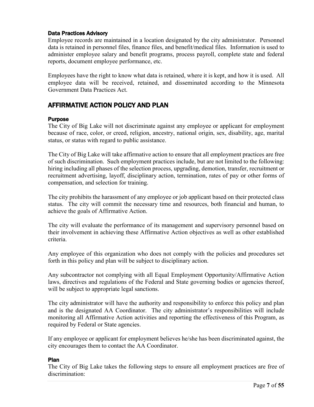# <span id="page-6-0"></span>Data Practices Advisory

Employee records are maintained in a location designated by the city administrator. Personnel data is retained in personnel files, finance files, and benefit/medical files. Information is used to administer employee salary and benefit programs, process payroll, complete state and federal reports, document employee performance, etc.

Employees have the right to know what data is retained, where it is kept, and how it is used. All employee data will be received, retained, and disseminated according to the Minnesota Government Data Practices Act.

# <span id="page-6-1"></span>AFFIRMATIVE ACTION POLICY AND PLAN

# <span id="page-6-2"></span>Purpose

The City of Big Lake will not discriminate against any employee or applicant for employment because of race, color, or creed, religion, ancestry, national origin, sex, disability, age, marital status, or status with regard to public assistance.

The City of Big Lake will take affirmative action to ensure that all employment practices are free of such discrimination. Such employment practices include, but are not limited to the following: hiring including all phases of the selection process, upgrading, demotion, transfer, recruitment or recruitment advertising, layoff, disciplinary action, termination, rates of pay or other forms of compensation, and selection for training.

The city prohibits the harassment of any employee or job applicant based on their protected class status. The city will commit the necessary time and resources, both financial and human, to achieve the goals of Affirmative Action.

The city will evaluate the performance of its management and supervisory personnel based on their involvement in achieving these Affirmative Action objectives as well as other established criteria.

Any employee of this organization who does not comply with the policies and procedures set forth in this policy and plan will be subject to disciplinary action.

Any subcontractor not complying with all Equal Employment Opportunity/Affirmative Action laws, directives and regulations of the Federal and State governing bodies or agencies thereof, will be subject to appropriate legal sanctions.

The city administrator will have the authority and responsibility to enforce this policy and plan and is the designated AA Coordinator. The city administrator's responsibilities will include monitoring all Affirmative Action activities and reporting the effectiveness of this Program, as required by Federal or State agencies.

If any employee or applicant for employment believes he/she has been discriminated against, the city encourages them to contact the AA Coordinator.

# <span id="page-6-3"></span>Plan

The City of Big Lake takes the following steps to ensure all employment practices are free of discrimination: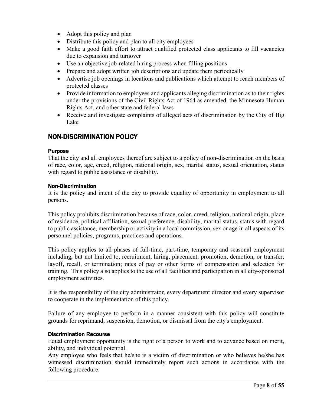- Adopt this policy and plan
- Distribute this policy and plan to all city employees
- Make a good faith effort to attract qualified protected class applicants to fill vacancies due to expansion and turnover
- Use an objective job-related hiring process when filling positions
- Prepare and adopt written job descriptions and update them periodically
- Advertise job openings in locations and publications which attempt to reach members of protected classes
- Provide information to employees and applicants alleging discrimination as to their rights under the provisions of the Civil Rights Act of 1964 as amended, the Minnesota Human Rights Act, and other state and federal laws
- Receive and investigate complaints of alleged acts of discrimination by the City of Big Lake

# <span id="page-7-0"></span>NON-DISCRIMINATION POLICY

#### <span id="page-7-1"></span>**Purpose**

That the city and all employees thereof are subject to a policy of non-discrimination on the basis of race, color, age, creed, religion, national origin, sex, marital status, sexual orientation, status with regard to public assistance or disability.

#### <span id="page-7-2"></span>Non-Discrimination

It is the policy and intent of the city to provide equality of opportunity in employment to all persons.

This policy prohibits discrimination because of race, color, creed, religion, national origin, place of residence, political affiliation, sexual preference, disability, marital status, status with regard to public assistance, membership or activity in a local commission, sex or age in all aspects of its personnel policies, programs, practices and operations.

This policy applies to all phases of full-time, part-time, temporary and seasonal employment including, but not limited to, recruitment, hiring, placement, promotion, demotion, or transfer; layoff, recall, or termination; rates of pay or other forms of compensation and selection for training. This policy also applies to the use of all facilities and participation in all city-sponsored employment activities.

It is the responsibility of the city administrator, every department director and every supervisor to cooperate in the implementation of this policy.

Failure of any employee to perform in a manner consistent with this policy will constitute grounds for reprimand, suspension, demotion, or dismissal from the city's employment.

# <span id="page-7-3"></span>Discrimination Recourse

Equal employment opportunity is the right of a person to work and to advance based on merit, ability, and individual potential.

Any employee who feels that he/she is a victim of discrimination or who believes he/she has witnessed discrimination should immediately report such actions in accordance with the following procedure: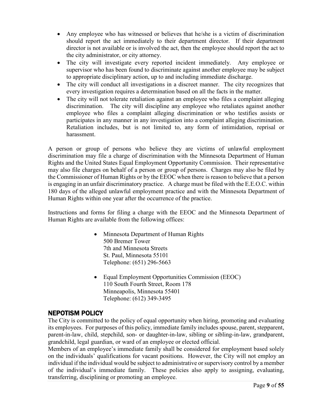- Any employee who has witnessed or believes that he/she is a victim of discrimination should report the act immediately to their department director. If their department director is not available or is involved the act, then the employee should report the act to the city administrator, or city attorney.
- The city will investigate every reported incident immediately. Any employee or supervisor who has been found to discriminate against another employee may be subject to appropriate disciplinary action, up to and including immediate discharge.
- The city will conduct all investigations in a discreet manner. The city recognizes that every investigation requires a determination based on all the facts in the matter.
- The city will not tolerate retaliation against an employee who files a complaint alleging discrimination. The city will discipline any employee who retaliates against another employee who files a complaint alleging discrimination or who testifies assists or participates in any manner in any investigation into a complaint alleging discrimination. Retaliation includes, but is not limited to, any form of intimidation, reprisal or harassment.

A person or group of persons who believe they are victims of unlawful employment discrimination may file a charge of discrimination with the Minnesota Department of Human Rights and the United States Equal Employment Opportunity Commission. Their representative may also file charges on behalf of a person or group of persons. Charges may also be filed by the Commissioner of Human Rights or by the EEOC when there is reason to believe that a person is engaging in an unfair discriminatory practice. A charge must be filed with the E.E.O.C. within 180 days of the alleged unlawful employment practice and with the Minnesota Department of Human Rights within one year after the occurrence of the practice.

Instructions and forms for filing a charge with the EEOC and the Minnesota Department of Human Rights are available from the following offices:

- Minnesota Department of Human Rights 500 Bremer Tower 7th and Minnesota Streets St. Paul, Minnesota 55101 Telephone: (651) 296-5663
- Equal Employment Opportunities Commission (EEOC) 110 South Fourth Street, Room 178 Minneapolis, Minnesota 55401 Telephone: (612) 349-3495

# <span id="page-8-0"></span>NEPOTISM POLICY

The City is committed to the policy of equal opportunity when hiring, promoting and evaluating its employees. For purposes of this policy, immediate family includes spouse, parent, stepparent, parent-in-law, child, stepchild, son- or daughter-in-law, sibling or sibling-in-law, grandparent, grandchild, legal guardian, or ward of an employee or elected official.

Members of an employee's immediate family shall be considered for employment based solely on the individuals' qualifications for vacant positions. However, the City will not employ an individual if the individual would be subject to administrative or supervisory control by a member of the individual's immediate family. These policies also apply to assigning, evaluating, transferring, disciplining or promoting an employee.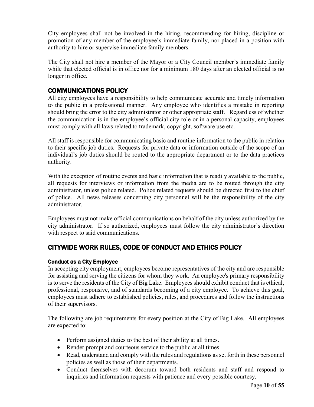City employees shall not be involved in the hiring, recommending for hiring, discipline or promotion of any member of the employee's immediate family, nor placed in a position with authority to hire or supervise immediate family members.

The City shall not hire a member of the Mayor or a City Council member's immediate family while that elected official is in office nor for a minimum 180 days after an elected official is no longer in office.

# <span id="page-9-0"></span>COMMUNICATIONS POLICY

All city employees have a responsibility to help communicate accurate and timely information to the public in a professional manner. Any employee who identifies a mistake in reporting should bring the error to the city administrator or other appropriate staff. Regardless of whether the communication is in the employee's official city role or in a personal capacity, employees must comply with all laws related to trademark, copyright, software use etc.

All staff is responsible for communicating basic and routine information to the public in relation to their specific job duties. Requests for private data or information outside of the scope of an individual's job duties should be routed to the appropriate department or to the data practices authority.

With the exception of routine events and basic information that is readily available to the public, all requests for interviews or information from the media are to be routed through the city administrator, unless police related. Police related requests should be directed first to the chief of police. All news releases concerning city personnel will be the responsibility of the city administrator.

Employees must not make official communications on behalf of the city unless authorized by the city administrator. If so authorized, employees must follow the city administrator's direction with respect to said communications.

# <span id="page-9-1"></span>CITYWIDE WORK RULES, CODE OF CONDUCT AND ETHICS POLICY

# <span id="page-9-2"></span>Conduct as a City Employee

In accepting city employment, employees become representatives of the city and are responsible for assisting and serving the citizens for whom they work. An employee's primary responsibility is to serve the residents of the City of Big Lake. Employees should exhibit conduct that is ethical, professional, responsive, and of standards becoming of a city employee. To achieve this goal, employees must adhere to established policies, rules, and procedures and follow the instructions of their supervisors.

The following are job requirements for every position at the City of Big Lake. All employees are expected to:

- Perform assigned duties to the best of their ability at all times.
- Render prompt and courteous service to the public at all times.
- Read, understand and comply with the rules and regulations as set forth in these personnel policies as well as those of their departments.
- Conduct themselves with decorum toward both residents and staff and respond to inquiries and information requests with patience and every possible courtesy.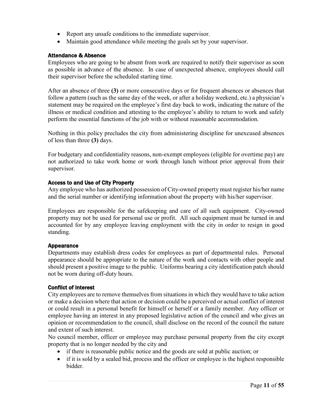- Report any unsafe conditions to the immediate supervisor.
- Maintain good attendance while meeting the goals set by your supervisor.

# <span id="page-10-0"></span>Attendance & Absence

Employees who are going to be absent from work are required to notify their supervisor as soon as possible in advance of the absence. In case of unexpected absence, employees should call their supervisor before the scheduled starting time.

After an absence of three **(3)** or more consecutive days or for frequent absences or absences that follow a pattern (such as the same day of the week, or after a holiday weekend, etc.) a physician's statement may be required on the employee's first day back to work, indicating the nature of the illness or medical condition and attesting to the employee's ability to return to work and safely perform the essential functions of the job with or without reasonable accommodation.

Nothing in this policy precludes the city from administering discipline for unexcused absences of less than three **(3)** days.

For budgetary and confidentiality reasons, non-exempt employees (eligible for overtime pay) are not authorized to take work home or work through lunch without prior approval from their supervisor.

# <span id="page-10-1"></span>Access to and Use of City Property

Any employee who has authorized possession of City-owned property must register his/her name and the serial number or identifying information about the property with his/her supervisor.

Employees are responsible for the safekeeping and care of all such equipment. City-owned property may not be used for personal use or profit. All such equipment must be turned in and accounted for by any employee leaving employment with the city in order to resign in good standing.

# <span id="page-10-2"></span>Appearance

Departments may establish dress codes for employees as part of departmental rules. Personal appearance should be appropriate to the nature of the work and contacts with other people and should present a positive image to the public. Uniforms bearing a city identification patch should not be worn during off-duty hours.

# <span id="page-10-3"></span>Conflict of Interest

City employees are to remove themselves from situations in which they would have to take action or make a decision where that action or decision could be a perceived or actual conflict of interest or could result in a personal benefit for himself or herself or a family member. Any officer or employee having an interest in any proposed legislative action of the council and who gives an opinion or recommendation to the council, shall disclose on the record of the council the nature and extent of such interest.

No council member, officer or employee may purchase personal property from the city except property that is no longer needed by the city and

- if there is reasonable public notice and the goods are sold at public auction; or
- if it is sold by a sealed bid, process and the officer or employee is the highest responsible bidder.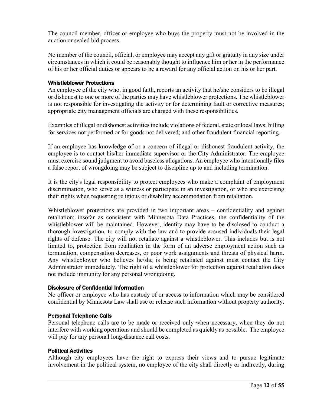The council member, officer or employee who buys the property must not be involved in the auction or sealed bid process.

No member of the council, official, or employee may accept any gift or gratuity in any size under circumstances in which it could be reasonably thought to influence him or her in the performance of his or her official duties or appears to be a reward for any official action on his or her part.

#### <span id="page-11-0"></span>Whistleblower Protections

An employee of the city who, in good faith, reports an activity that he/she considers to be illegal or dishonest to one or more of the parties may have whistleblower protections. The whistleblower is not responsible for investigating the activity or for determining fault or corrective measures; appropriate city management officials are charged with these responsibilities.

Examples of illegal or dishonest activities include violations of federal, state or local laws; billing for services not performed or for goods not delivered; and other fraudulent financial reporting.

If an employee has knowledge of or a concern of illegal or dishonest fraudulent activity, the employee is to contact his/her immediate supervisor or the City Administrator. The employee must exercise sound judgment to avoid baseless allegations. An employee who intentionally files a false report of wrongdoing may be subject to discipline up to and including termination.

It is the city's legal responsibility to protect employees who make a complaint of employment discrimination, who serve as a witness or participate in an investigation, or who are exercising their rights when requesting religious or disability accommodation from retaliation.

Whistleblower protections are provided in two important areas – confidentiality and against retaliation; insofar as consistent with Minnesota Data Practices, the confidentiality of the whistleblower will be maintained. However, identity may have to be disclosed to conduct a thorough investigation, to comply with the law and to provide accused individuals their legal rights of defense. The city will not retaliate against a whistleblower. This includes but is not limited to, protection from retaliation in the form of an adverse employment action such as termination, compensation decreases, or poor work assignments and threats of physical harm. Any whistleblower who believes he/she is being retaliated against must contact the City Administrator immediately. The right of a whistleblower for protection against retaliation does not include immunity for any personal wrongdoing.

#### <span id="page-11-1"></span>Disclosure of Confidential Information

No officer or employee who has custody of or access to information which may be considered confidential by Minnesota Law shall use or release such information without property authority.

# <span id="page-11-2"></span>Personal Telephone Calls

Personal telephone calls are to be made or received only when necessary, when they do not interfere with working operations and should be completed as quickly as possible. The employee will pay for any personal long-distance call costs.

#### <span id="page-11-3"></span>Political Activities

Although city employees have the right to express their views and to pursue legitimate involvement in the political system, no employee of the city shall directly or indirectly, during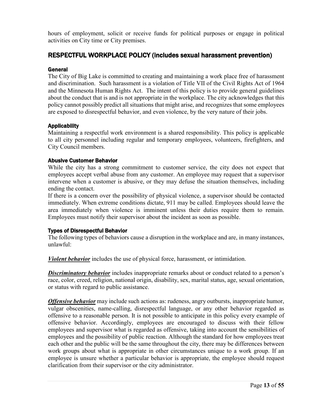hours of employment, solicit or receive funds for political purposes or engage in political activities on City time or City premises.

# <span id="page-12-0"></span>RESPECTFUL WORKPLACE POLICY (includes sexual harassment prevention)

#### <span id="page-12-1"></span>General

The City of Big Lake is committed to creating and maintaining a work place free of harassment and discrimination. Such harassment is a violation of Title VII of the Civil Rights Act of 1964 and the Minnesota Human Rights Act. The intent of this policy is to provide general guidelines about the conduct that is and is not appropriate in the workplace. The city acknowledges that this policy cannot possibly predict all situations that might arise, and recognizes that some employees are exposed to disrespectful behavior, and even violence, by the very nature of their jobs.

# <span id="page-12-2"></span>**Applicability**

Maintaining a respectful work environment is a shared responsibility. This policy is applicable to all city personnel including regular and temporary employees, volunteers, firefighters, and City Council members.

#### <span id="page-12-3"></span>Abusive Customer Behavior

While the city has a strong commitment to customer service, the city does not expect that employees accept verbal abuse from any customer. An employee may request that a supervisor intervene when a customer is abusive, or they may defuse the situation themselves, including ending the contact.

If there is a concern over the possibility of physical violence, a supervisor should be contacted immediately. When extreme conditions dictate, 911 may be called. Employees should leave the area immediately when violence is imminent unless their duties require them to remain. Employees must notify their supervisor about the incident as soon as possible.

# <span id="page-12-4"></span>Types of Disrespectful Behavior

The following types of behaviors cause a disruption in the workplace and are, in many instances, unlawful:

*Violent behavior* includes the use of physical force, harassment, or intimidation.

**Discriminatory behavior** includes inappropriate remarks about or conduct related to a person's race, color, creed, religion, national origin, disability, sex, marital status, age, sexual orientation, or status with regard to public assistance.

*Offensive behavior* may include such actions as: rudeness, angry outbursts, inappropriate humor, vulgar obscenities, name-calling, disrespectful language, or any other behavior regarded as offensive to a reasonable person. It is not possible to anticipate in this policy every example of offensive behavior. Accordingly, employees are encouraged to discuss with their fellow employees and supervisor what is regarded as offensive, taking into account the sensibilities of employees and the possibility of public reaction. Although the standard for how employees treat each other and the public will be the same throughout the city, there may be differences between work groups about what is appropriate in other circumstances unique to a work group. If an employee is unsure whether a particular behavior is appropriate, the employee should request clarification from their supervisor or the city administrator.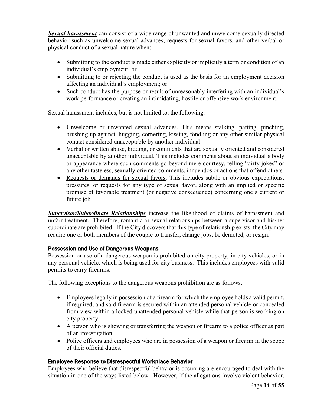*Sexual harassment* can consist of a wide range of unwanted and unwelcome sexually directed behavior such as unwelcome sexual advances, requests for sexual favors, and other verbal or physical conduct of a sexual nature when:

- Submitting to the conduct is made either explicitly or implicitly a term or condition of an individual's employment; or
- Submitting to or rejecting the conduct is used as the basis for an employment decision affecting an individual's employment; or
- Such conduct has the purpose or result of unreasonably interfering with an individual's work performance or creating an intimidating, hostile or offensive work environment.

Sexual harassment includes, but is not limited to, the following:

- Unwelcome or unwanted sexual advances. This means stalking, patting, pinching, brushing up against, hugging, cornering, kissing, fondling or any other similar physical contact considered unacceptable by another individual.
- Verbal or written abuse, kidding, or comments that are sexually oriented and considered unacceptable by another individual. This includes comments about an individual's body or appearance where such comments go beyond mere courtesy, telling "dirty jokes" or any other tasteless, sexually oriented comments, innuendos or actions that offend others.
- Requests or demands for sexual favors. This includes subtle or obvious expectations, pressures, or requests for any type of sexual favor, along with an implied or specific promise of favorable treatment (or negative consequence) concerning one's current or future job.

*Supervisor/Subordinate Relationships* increase the likelihood of claims of harassment and unfair treatment. Therefore, romantic or sexual relationships between a supervisor and his/her subordinate are prohibited. If the City discovers that this type of relationship exists, the City may require one or both members of the couple to transfer, change jobs, be demoted, or resign.

# <span id="page-13-0"></span>Possession and Use of Dangerous Weapons

Possession or use of a dangerous weapon is prohibited on city property, in city vehicles, or in any personal vehicle, which is being used for city business. This includes employees with valid permits to carry firearms.

The following exceptions to the dangerous weapons prohibition are as follows:

- Employees legally in possession of a firearm for which the employee holds a valid permit, if required, and said firearm is secured within an attended personal vehicle or concealed from view within a locked unattended personal vehicle while that person is working on city property.
- A person who is showing or transferring the weapon or firearm to a police officer as part of an investigation.
- Police officers and employees who are in possession of a weapon or firearm in the scope of their official duties.

# <span id="page-13-1"></span>Employee Response to Disrespectful Workplace Behavior

Employees who believe that disrespectful behavior is occurring are encouraged to deal with the situation in one of the ways listed below. However, if the allegations involve violent behavior,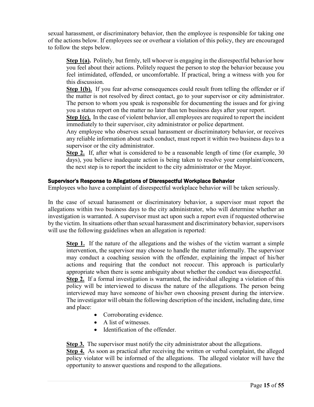sexual harassment, or discriminatory behavior, then the employee is responsible for taking one of the actions below. If employees see or overhear a violation of this policy, they are encouraged to follow the steps below.

**Step 1(a).** Politely, but firmly, tell whoever is engaging in the disrespectful behavior how you feel about their actions. Politely request the person to stop the behavior because you feel intimidated, offended, or uncomfortable. If practical, bring a witness with you for this discussion.

**Step 1(b).** If you fear adverse consequences could result from telling the offender or if the matter is not resolved by direct contact, go to your supervisor or city administrator. The person to whom you speak is responsible for documenting the issues and for giving you a status report on the matter no later than ten business days after your report.

**Step 1(c).** In the case of violent behavior, all employees are required to report the incident immediately to their supervisor, city administrator or police department.

Any employee who observes sexual harassment or discriminatory behavior, or receives any reliable information about such conduct, must report it within two business days to a supervisor or the city administrator.

**Step 2.** If, after what is considered to be a reasonable length of time (for example, 30 days), you believe inadequate action is being taken to resolve your complaint/concern, the next step is to report the incident to the city administrator or the Mayor.

#### <span id="page-14-0"></span>Supervisor's Response to Allegations of Disrespectful Workplace Behavior

Employees who have a complaint of disrespectful workplace behavior will be taken seriously.

In the case of sexual harassment or discriminatory behavior, a supervisor must report the allegations within two business days to the city administrator, who will determine whether an investigation is warranted. A supervisor must act upon such a report even if requested otherwise by the victim. In situations other than sexual harassment and discriminatory behavior, supervisors will use the following guidelines when an allegation is reported:

**Step 1.** If the nature of the allegations and the wishes of the victim warrant a simple intervention, the supervisor may choose to handle the matter informally. The supervisor may conduct a coaching session with the offender, explaining the impact of his/her actions and requiring that the conduct not reoccur. This approach is particularly appropriate when there is some ambiguity about whether the conduct was disrespectful. **Step 2.** If a formal investigation is warranted, the individual alleging a violation of this policy will be interviewed to discuss the nature of the allegations. The person being interviewed may have someone of his/her own choosing present during the interview. The investigator will obtain the following description of the incident, including date, time and place:

- Corroborating evidence.
- A list of witnesses.
- Identification of the offender.

**Step 3.** The supervisor must notify the city administrator about the allegations.

**Step 4.** As soon as practical after receiving the written or verbal complaint, the alleged policy violator will be informed of the allegations. The alleged violator will have the opportunity to answer questions and respond to the allegations.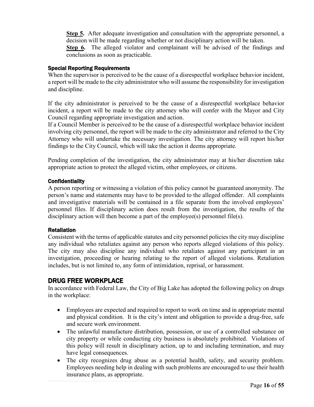**Step 5.** After adequate investigation and consultation with the appropriate personnel, a decision will be made regarding whether or not disciplinary action will be taken.

**Step 6.** The alleged violator and complainant will be advised of the findings and conclusions as soon as practicable.

# <span id="page-15-0"></span>Special Reporting Requirements

When the supervisor is perceived to be the cause of a disrespectful workplace behavior incident, a report will be made to the city administrator who will assume the responsibility for investigation and discipline.

If the city administrator is perceived to be the cause of a disrespectful workplace behavior incident, a report will be made to the city attorney who will confer with the Mayor and City Council regarding appropriate investigation and action.

If a Council Member is perceived to be the cause of a disrespectful workplace behavior incident involving city personnel, the report will be made to the city administrator and referred to the City Attorney who will undertake the necessary investigation. The city attorney will report his/her findings to the City Council, which will take the action it deems appropriate.

Pending completion of the investigation, the city administrator may at his/her discretion take appropriate action to protect the alleged victim, other employees, or citizens.

# <span id="page-15-1"></span>**Confidentiality**

A person reporting or witnessing a violation of this policy cannot be guaranteed anonymity. The person's name and statements may have to be provided to the alleged offender. All complaints and investigative materials will be contained in a file separate from the involved employees' personnel files. If disciplinary action does result from the investigation, the results of the disciplinary action will then become a part of the employee(s) personnel file(s).

# <span id="page-15-2"></span>Retaliation

Consistent with the terms of applicable statutes and city personnel policies the city may discipline any individual who retaliates against any person who reports alleged violations of this policy. The city may also discipline any individual who retaliates against any participant in an investigation, proceeding or hearing relating to the report of alleged violations. Retaliation includes, but is not limited to, any form of intimidation, reprisal, or harassment.

# <span id="page-15-3"></span>DRUG FREE WORKPLACE

In accordance with Federal Law, the City of Big Lake has adopted the following policy on drugs in the workplace:

- Employees are expected and required to report to work on time and in appropriate mental and physical condition. It is the city's intent and obligation to provide a drug-free, safe and secure work environment.
- The unlawful manufacture distribution, possession, or use of a controlled substance on city property or while conducting city business is absolutely prohibited. Violations of this policy will result in disciplinary action, up to and including termination, and may have legal consequences.
- The city recognizes drug abuse as a potential health, safety, and security problem. Employees needing help in dealing with such problems are encouraged to use their health insurance plans, as appropriate.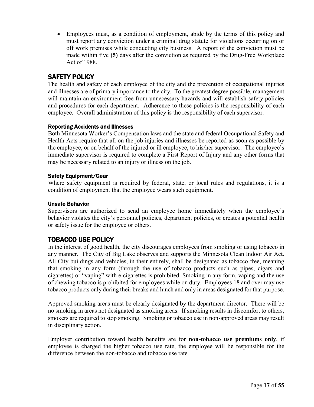• Employees must, as a condition of employment, abide by the terms of this policy and must report any conviction under a criminal drug statute for violations occurring on or off work premises while conducting city business. A report of the conviction must be made within five **(5)** days after the conviction as required by the Drug-Free Workplace Act of 1988.

# <span id="page-16-0"></span>SAFETY POLICY

The health and safety of each employee of the city and the prevention of occupational injuries and illnesses are of primary importance to the city. To the greatest degree possible, management will maintain an environment free from unnecessary hazards and will establish safety policies and procedures for each department. Adherence to these policies is the responsibility of each employee. Overall administration of this policy is the responsibility of each supervisor.

# <span id="page-16-1"></span>Reporting Accidents and Illnesses

Both Minnesota Worker's Compensation laws and the state and federal Occupational Safety and Health Acts require that all on the job injuries and illnesses be reported as soon as possible by the employee, or on behalf of the injured or ill employee, to his/her supervisor. The employee's immediate supervisor is required to complete a First Report of Injury and any other forms that may be necessary related to an injury or illness on the job.

# <span id="page-16-2"></span>Safety Equipment/Gear

Where safety equipment is required by federal, state, or local rules and regulations, it is a condition of employment that the employee wears such equipment.

# <span id="page-16-3"></span>Unsafe Behavior

Supervisors are authorized to send an employee home immediately when the employee's behavior violates the city's personnel policies, department policies, or creates a potential health or safety issue for the employee or others.

# <span id="page-16-4"></span>TOBACCO USE POLICY

In the interest of good health, the city discourages employees from smoking or using tobacco in any manner. The City of Big Lake observes and supports the Minnesota Clean Indoor Air Act. All City buildings and vehicles, in their entirely, shall be designated as tobacco free, meaning that smoking in any form (through the use of tobacco products such as pipes, cigars and cigarettes) or "vaping" with e-cigarettes is prohibited. Smoking in any form, vaping and the use of chewing tobacco is prohibited for employees while on duty. Employees 18 and over may use tobacco products only during their breaks and lunch and only in areas designated for that purpose.

Approved smoking areas must be clearly designated by the department director. There will be no smoking in areas not designated as smoking areas. If smoking results in discomfort to others, smokers are required to stop smoking. Smoking or tobacco use in non-approved areas may result in disciplinary action.

Employer contribution toward health benefits are for **non-tobacco use premiums only**, if employee is charged the higher tobacco use rate, the employee will be responsible for the difference between the non-tobacco and tobacco use rate.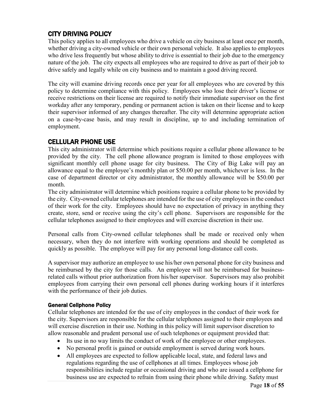# <span id="page-17-0"></span>CITY DRIVING POLICY

This policy applies to all employees who drive a vehicle on city business at least once per month, whether driving a city-owned vehicle or their own personal vehicle. It also applies to employees who drive less frequently but whose ability to drive is essential to their job due to the emergency nature of the job. The city expects all employees who are required to drive as part of their job to drive safely and legally while on city business and to maintain a good driving record.

The city will examine driving records once per year for all employees who are covered by this policy to determine compliance with this policy. Employees who lose their driver's license or receive restrictions on their license are required to notify their immediate supervisor on the first workday after any temporary, pending or permanent action is taken on their license and to keep their supervisor informed of any changes thereafter. The city will determine appropriate action on a case-by-case basis, and may result in discipline, up to and including termination of employment.

# <span id="page-17-1"></span>CELLULAR PHONE USE

This city administrator will determine which positions require a cellular phone allowance to be provided by the city. The cell phone allowance program is limited to those employees with significant monthly cell phone usage for city business. The City of Big Lake will pay an allowance equal to the employee's monthly plan or \$50.00 per month, whichever is less. In the case of department director or city administrator, the monthly allowance will be \$50.00 per month.

The city administrator will determine which positions require a cellular phone to be provided by the city. City-owned cellular telephones are intended for the use of city employees in the conduct of their work for the city. Employees should have no expectation of privacy in anything they create, store, send or receive using the city's cell phone. Supervisors are responsible for the cellular telephones assigned to their employees and will exercise discretion in their use.

Personal calls from City-owned cellular telephones shall be made or received only when necessary, when they do not interfere with working operations and should be completed as quickly as possible. The employee will pay for any personal long-distance call costs.

A supervisor may authorize an employee to use his/her own personal phone for city business and be reimbursed by the city for those calls. An employee will not be reimbursed for businessrelated calls without prior authorization from his/her supervisor. Supervisors may also prohibit employees from carrying their own personal cell phones during working hours if it interferes with the performance of their job duties.

# <span id="page-17-2"></span>General Cellphone Policy

Cellular telephones are intended for the use of city employees in the conduct of their work for the city. Supervisors are responsible for the cellular telephones assigned to their employees and will exercise discretion in their use. Nothing in this policy will limit supervisor discretion to allow reasonable and prudent personal use of such telephones or equipment provided that:

- Its use in no way limits the conduct of work of the employee or other employees.
- No personal profit is gained or outside employment is served during work hours.
- All employees are expected to follow applicable local, state, and federal laws and regulations regarding the use of cellphones at all times. Employees whose job responsibilities include regular or occasional driving and who are issued a cellphone for business use are expected to refrain from using their phone while driving. Safety must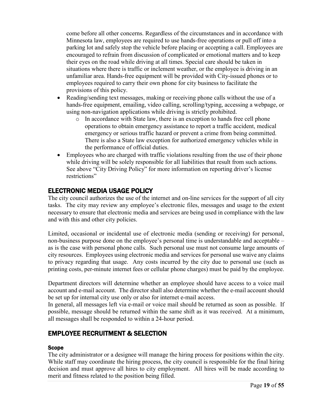come before all other concerns. Regardless of the circumstances and in accordance with Minnesota law, employees are required to use hands-free operations or pull off into a parking lot and safely stop the vehicle before placing or accepting a call. Employees are encouraged to refrain from discussion of complicated or emotional matters and to keep their eyes on the road while driving at all times. Special care should be taken in situations where there is traffic or inclement weather, or the employee is driving in an unfamiliar area. Hands-free equipment will be provided with City-issued phones or to employees required to carry their own phone for city business to facilitate the provisions of this policy.

- Reading/sending text messages, making or receiving phone calls without the use of a hands-free equipment, emailing, video calling, scrolling/typing, accessing a webpage, or using non-navigation applications while driving is strictly prohibited.
	- o In accordance with State law, there is an exception to hands free cell phone operations to obtain emergency assistance to report a traffic accident, medical emergency or serious traffic hazard or prevent a crime from being committed. There is also a State law exception for authorized emergency vehicles while in the performance of official duties.
- Employees who are charged with traffic violations resulting from the use of their phone while driving will be solely responsible for all liabilities that result from such actions. See above "City Driving Policy" for more information on reporting driver's license restrictions"

# <span id="page-18-0"></span>ELECTRONIC MEDIA USAGE POLICY

The city council authorizes the use of the internet and on-line services for the support of all city tasks. The city may review any employee's electronic files, messages and usage to the extent necessary to ensure that electronic media and services are being used in compliance with the law and with this and other city policies.

Limited, occasional or incidental use of electronic media (sending or receiving) for personal, non-business purpose done on the employee's personal time is understandable and acceptable – as is the case with personal phone calls. Such personal use must not consume large amounts of city resources. Employees using electronic media and services for personal use waive any claims to privacy regarding that usage. Any costs incurred by the city due to personal use (such as printing costs, per-minute internet fees or cellular phone charges) must be paid by the employee.

Department directors will determine whether an employee should have access to a voice mail account and e-mail account. The director shall also determine whether the e-mail account should be set up for internal city use only or also for internet e-mail access.

In general, all messages left via e-mail or voice mail should be returned as soon as possible. If possible, message should be returned within the same shift as it was received. At a minimum, all messages shall be responded to within a 24-hour period.

# <span id="page-18-1"></span>EMPLOYEE RECRUITMENT & SELECTION

# <span id="page-18-2"></span>Scope

The city administrator or a designee will manage the hiring process for positions within the city. While staff may coordinate the hiring process, the city council is responsible for the final hiring decision and must approve all hires to city employment. All hires will be made according to merit and fitness related to the position being filled.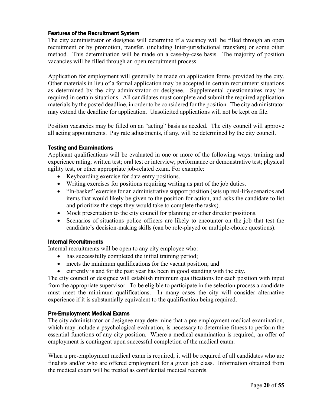#### <span id="page-19-0"></span>Features of the Recruitment System

The city administrator or designee will determine if a vacancy will be filled through an open recruitment or by promotion, transfer, (including Inter-jurisdictional transfers) or some other method. This determination will be made on a case-by-case basis. The majority of position vacancies will be filled through an open recruitment process.

Application for employment will generally be made on application forms provided by the city. Other materials in lieu of a formal application may be accepted in certain recruitment situations as determined by the city administrator or designee. Supplemental questionnaires may be required in certain situations. All candidates must complete and submit the required application materials by the posted deadline, in order to be considered for the position. The city administrator may extend the deadline for application. Unsolicited applications will not be kept on file.

Position vacancies may be filled on an "acting" basis as needed. The city council will approve all acting appointments. Pay rate adjustments, if any, will be determined by the city council.

#### <span id="page-19-1"></span>Testing and Examinations

Applicant qualifications will be evaluated in one or more of the following ways: training and experience rating; written test; oral test or interview; performance or demonstrative test; physical agility test, or other appropriate job-related exam. For example:

- Keyboarding exercise for data entry positions.
- Writing exercises for positions requiring writing as part of the job duties.
- "In-basket" exercise for an administrative support position (sets up real-life scenarios and items that would likely be given to the position for action, and asks the candidate to list and prioritize the steps they would take to complete the tasks).
- Mock presentation to the city council for planning or other director positions.
- Scenarios of situations police officers are likely to encounter on the job that test the candidate's decision-making skills (can be role-played or multiple-choice questions).

#### <span id="page-19-2"></span>Internal Recruitments

Internal recruitments will be open to any city employee who:

- has successfully completed the initial training period;
- meets the minimum qualifications for the vacant position; and
- currently is and for the past year has been in good standing with the city.

The city council or designee will establish minimum qualifications for each position with input from the appropriate supervisor. To be eligible to participate in the selection process a candidate must meet the minimum qualifications. In many cases the city will consider alternative experience if it is substantially equivalent to the qualification being required.

#### <span id="page-19-3"></span>Pre-Employment Medical Exams

The city administrator or designee may determine that a pre-employment medical examination, which may include a psychological evaluation, is necessary to determine fitness to perform the essential functions of any city position. Where a medical examination is required, an offer of employment is contingent upon successful completion of the medical exam.

When a pre-employment medical exam is required, it will be required of all candidates who are finalists and/or who are offered employment for a given job class. Information obtained from the medical exam will be treated as confidential medical records.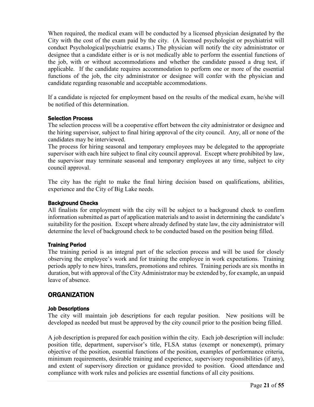When required, the medical exam will be conducted by a licensed physician designated by the City with the cost of the exam paid by the city. (A licensed psychologist or psychiatrist will conduct Psychological/psychiatric exams.) The physician will notify the city administrator or designee that a candidate either is or is not medically able to perform the essential functions of the job, with or without accommodations and whether the candidate passed a drug test, if applicable. If the candidate requires accommodation to perform one or more of the essential functions of the job, the city administrator or designee will confer with the physician and candidate regarding reasonable and acceptable accommodations.

If a candidate is rejected for employment based on the results of the medical exam, he/she will be notified of this determination.

#### <span id="page-20-0"></span>Selection Process

The selection process will be a cooperative effort between the city administrator or designee and the hiring supervisor, subject to final hiring approval of the city council. Any, all or none of the candidates may be interviewed.

The process for hiring seasonal and temporary employees may be delegated to the appropriate supervisor with each hire subject to final city council approval. Except where prohibited by law, the supervisor may terminate seasonal and temporary employees at any time, subject to city council approval.

The city has the right to make the final hiring decision based on qualifications, abilities, experience and the City of Big Lake needs.

#### <span id="page-20-1"></span>Background Checks

All finalists for employment with the city will be subject to a background check to confirm information submitted as part of application materials and to assist in determining the candidate's suitability for the position. Except where already defined by state law, the city administrator will determine the level of background check to be conducted based on the position being filled.

# <span id="page-20-2"></span>Training Period

The training period is an integral part of the selection process and will be used for closely observing the employee's work and for training the employee in work expectations. Training periods apply to new hires, transfers, promotions and rehires. Training periods are six months in duration, but with approval of the City Administrator may be extended by, for example, an unpaid leave of absence.

# <span id="page-20-3"></span>ORGANIZATION

#### <span id="page-20-4"></span>Job Descriptions

The city will maintain job descriptions for each regular position. New positions will be developed as needed but must be approved by the city council prior to the position being filled.

A job description is prepared for each position within the city. Each job description will include: position title, department, supervisor's title, FLSA status (exempt or nonexempt), primary objective of the position, essential functions of the position, examples of performance criteria, minimum requirements, desirable training and experience, supervisory responsibilities (if any), and extent of supervisory direction or guidance provided to position. Good attendance and compliance with work rules and policies are essential functions of all city positions.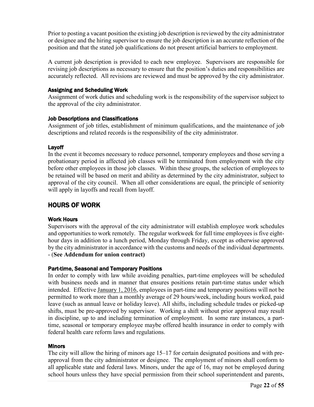Prior to posting a vacant position the existing job description is reviewed by the city administrator or designee and the hiring supervisor to ensure the job description is an accurate reflection of the position and that the stated job qualifications do not present artificial barriers to employment.

A current job description is provided to each new employee. Supervisors are responsible for revising job descriptions as necessary to ensure that the position's duties and responsibilities are accurately reflected. All revisions are reviewed and must be approved by the city administrator.

#### <span id="page-21-0"></span>Assigning and Scheduling Work

Assignment of work duties and scheduling work is the responsibility of the supervisor subject to the approval of the city administrator.

#### <span id="page-21-1"></span>Job Descriptions and Classifications

Assignment of job titles, establishment of minimum qualifications, and the maintenance of job descriptions and related records is the responsibility of the city administrator.

#### <span id="page-21-2"></span>Layoff

In the event it becomes necessary to reduce personnel, temporary employees and those serving a probationary period in affected job classes will be terminated from employment with the city before other employees in those job classes. Within these groups, the selection of employees to be retained will be based on merit and ability as determined by the city administrator, subject to approval of the city council. When all other considerations are equal, the principle of seniority will apply in layoffs and recall from layoff.

# <span id="page-21-3"></span>HOURS OF WORK

# <span id="page-21-4"></span>Work Hours

Supervisors with the approval of the city administrator will establish employee work schedules and opportunities to work remotely. The regular workweek for full time employees is five eighthour days in addition to a lunch period, Monday through Friday, except as otherwise approved by the city administrator in accordance with the customs and needs of the individual departments. - (**See Addendum for union contract)**

# <span id="page-21-5"></span>Part-time, Seasonal and Temporary Positions

In order to comply with law while avoiding penalties, part-time employees will be scheduled with business needs and in manner that ensures positions retain part-time status under which intended. Effective January 1, 2016, employees in part-time and temporary positions will not be permitted to work more than a monthly average of 29 hours/week, including hours worked, paid leave (such as annual leave or holiday leave). All shifts, including schedule trades or picked-up shifts, must be pre-approved by supervisor. Working a shift without prior approval may result in discipline, up to and including termination of employment. In some rare instances, a parttime, seasonal or temporary employee maybe offered health insurance in order to comply with federal health care reform laws and regulations.

#### <span id="page-21-6"></span>**Minors**

The city will allow the hiring of minors age 15–17 for certain designated positions and with preapproval from the city administrator or designee. The employment of minors shall conform to all applicable state and federal laws. Minors, under the age of 16, may not be employed during school hours unless they have special permission from their school superintendent and parents,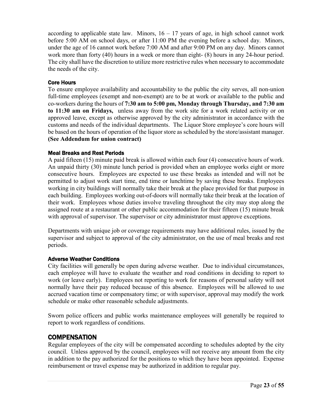according to applicable state law. Minors,  $16 - 17$  years of age, in high school cannot work before 5:00 AM on school days, or after 11:00 PM the evening before a school day. Minors, under the age of 16 cannot work before 7:00 AM and after 9:00 PM on any day. Minors cannot work more than forty (40) hours in a week or more than eight- (8) hours in any 24-hour period. The city shall have the discretion to utilize more restrictive rules when necessary to accommodate the needs of the city.

# <span id="page-22-0"></span>Core Hours

To ensure employee availability and accountability to the public the city serves, all non-union full-time employees (exempt and non-exempt) are to be at work or available to the public and co-workers during the hours of **7:30 am to 5:00 pm, Monday through Thursday, and 7:30 am to 11:30 am on Fridays,** unless away from the work site for a work related activity or on approved leave, except as otherwise approved by the city administrator in accordance with the customs and needs of the individual departments. The Liquor Store employee's core hours will be based on the hours of operation of the liquor store as scheduled by the store/assistant manager. **(See Addendum for union contract)**

# <span id="page-22-1"></span>Meal Breaks and Rest Periods

A paid fifteen (15) minute paid break is allowed within each four (4) consecutive hours of work. An unpaid thirty (30) minute lunch period is provided when an employee works eight or more consecutive hours. Employees are expected to use these breaks as intended and will not be permitted to adjust work start time, end time or lunchtime by saving these breaks. Employees working in city buildings will normally take their break at the place provided for that purpose in each building. Employees working out-of-doors will normally take their break at the location of their work. Employees whose duties involve traveling throughout the city may stop along the assigned route at a restaurant or other public accommodation for their fifteen (15) minute break with approval of supervisor. The supervisor or city administrator must approve exceptions.

Departments with unique job or coverage requirements may have additional rules, issued by the supervisor and subject to approval of the city administrator, on the use of meal breaks and rest periods.

# <span id="page-22-2"></span>Adverse Weather Conditions

City facilities will generally be open during adverse weather. Due to individual circumstances, each employee will have to evaluate the weather and road conditions in deciding to report to work (or leave early). Employees not reporting to work for reasons of personal safety will not normally have their pay reduced because of this absence. Employees will be allowed to use accrued vacation time or compensatory time; or with supervisor, approval may modify the work schedule or make other reasonable schedule adjustments.

Sworn police officers and public works maintenance employees will generally be required to report to work regardless of conditions.

# <span id="page-22-3"></span>**COMPENSATION**

Regular employees of the city will be compensated according to schedules adopted by the city council. Unless approved by the council, employees will not receive any amount from the city in addition to the pay authorized for the positions to which they have been appointed. Expense reimbursement or travel expense may be authorized in addition to regular pay.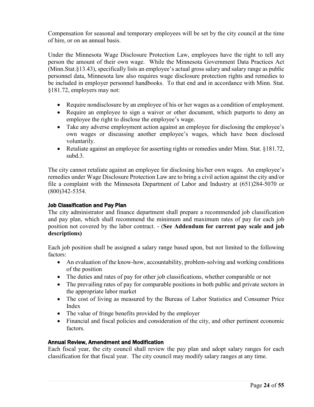Compensation for seasonal and temporary employees will be set by the city council at the time of hire, or on an annual basis.

Under the Minnesota Wage Disclosure Protection Law, employees have the right to tell any person the amount of their own wage. While the Minnesota Government Data Practices Act (Minn.Stat.§13.43), specifically lists an employee's actual gross salary and salary range as public personnel data, Minnesota law also requires wage disclosure protection rights and remedies to be included in employer personnel handbooks. To that end and in accordance with Minn. Stat. §181.72, employers may not:

- Require nondisclosure by an employee of his or her wages as a condition of employment.
- Require an employee to sign a waiver or other document, which purports to deny an employee the right to disclose the employee's wage.
- Take any adverse employment action against an employee for disclosing the employee's own wages or discussing another employee's wages, which have been disclosed voluntarily.
- Retaliate against an employee for asserting rights or remedies under Minn. Stat. §181.72, subd.3.

The city cannot retaliate against an employee for disclosing his/her own wages. An employee's remedies under Wage Disclosure Protection Law are to bring a civil action against the city and/or file a complaint with the Minnesota Department of Labor and Industry at (651)284-5070 or (800)342-5354.

### <span id="page-23-0"></span>Job Classification and Pay Plan

The city administrator and finance department shall prepare a recommended job classification and pay plan, which shall recommend the minimum and maximum rates of pay for each job position not covered by the labor contract. - (**See Addendum for current pay scale and job descriptions)**

Each job position shall be assigned a salary range based upon, but not limited to the following factors:

- An evaluation of the know-how, accountability, problem-solving and working conditions of the position
- The duties and rates of pay for other job classifications, whether comparable or not
- The prevailing rates of pay for comparable positions in both public and private sectors in the appropriate labor market
- The cost of living as measured by the Bureau of Labor Statistics and Consumer Price Index
- The value of fringe benefits provided by the employer
- Financial and fiscal policies and consideration of the city, and other pertinent economic factors.

#### <span id="page-23-1"></span>Annual Review, Amendment and Modification

Each fiscal year, the city council shall review the pay plan and adopt salary ranges for each classification for that fiscal year. The city council may modify salary ranges at any time.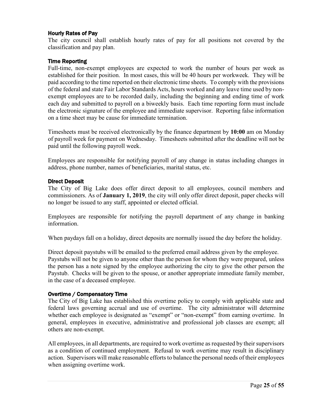### <span id="page-24-0"></span>Hourly Rates of Pay

The city council shall establish hourly rates of pay for all positions not covered by the classification and pay plan.

#### <span id="page-24-1"></span>Time Reporting

Full-time, non-exempt employees are expected to work the number of hours per week as established for their position. In most cases, this will be 40 hours per workweek. They will be paid according to the time reported on their electronic time sheets. To comply with the provisions of the federal and state Fair Labor Standards Acts, hours worked and any leave time used by nonexempt employees are to be recorded daily, including the beginning and ending time of work each day and submitted to payroll on a biweekly basis. Each time reporting form must include the electronic signature of the employee and immediate supervisor. Reporting false information on a time sheet may be cause for immediate termination.

Timesheets must be received electronically by the finance department by **10:00** am on Monday of payroll week for payment on Wednesday. Timesheets submitted after the deadline will not be paid until the following payroll week.

Employees are responsible for notifying payroll of any change in status including changes in address, phone number, names of beneficiaries, marital status, etc.

#### <span id="page-24-2"></span>Direct Deposit

The City of Big Lake does offer direct deposit to all employees, council members and commissioners. As of **January 1, 2019**, the city will only offer direct deposit, paper checks will no longer be issued to any staff, appointed or elected official.

Employees are responsible for notifying the payroll department of any change in banking information.

When paydays fall on a holiday, direct deposits are normally issued the day before the holiday.

Direct deposit paystubs will be emailed to the preferred email address given by the employee. Paystubs will not be given to anyone other than the person for whom they were prepared, unless the person has a note signed by the employee authorizing the city to give the other person the Paystub. Checks will be given to the spouse, or another appropriate immediate family member, in the case of a deceased employee.

#### <span id="page-24-3"></span>Overtime / Compensatory Time

The City of Big Lake has established this overtime policy to comply with applicable state and federal laws governing accrual and use of overtime. The city administrator will determine whether each employee is designated as "exempt" or "non-exempt" from earning overtime. In general, employees in executive, administrative and professional job classes are exempt; all others are non-exempt.

All employees, in all departments, are required to work overtime as requested by their supervisors as a condition of continued employment. Refusal to work overtime may result in disciplinary action. Supervisors will make reasonable efforts to balance the personal needs of their employees when assigning overtime work.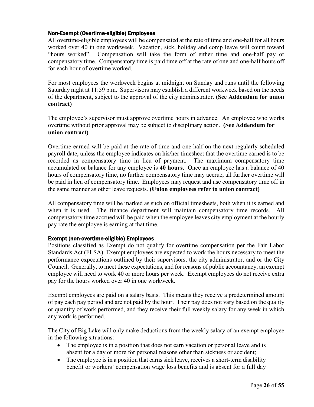### <span id="page-25-0"></span>Non-Exempt (Overtime-eligible) Employees

All overtime-eligible employees will be compensated at the rate of time and one-half for all hours worked over 40 in one workweek. Vacation, sick, holiday and comp leave will count toward "hours worked". Compensation will take the form of either time and one-half pay or compensatory time. Compensatory time is paid time off at the rate of one and one-half hours off for each hour of overtime worked.

For most employees the workweek begins at midnight on Sunday and runs until the following Saturday night at 11:59 p.m. Supervisors may establish a different workweek based on the needs of the department, subject to the approval of the city administrator. **(See Addendum for union contract)**

The employee's supervisor must approve overtime hours in advance. An employee who works overtime without prior approval may be subject to disciplinary action. **(See Addendum for union contract)**

Overtime earned will be paid at the rate of time and one-half on the next regularly scheduled payroll date, unless the employee indicates on his/her timesheet that the overtime earned is to be recorded as compensatory time in lieu of payment. The maximum compensatory time accumulated or balance for any employee is **40 hours**. Once an employee has a balance of 40 hours of compensatory time, no further compensatory time may accrue, all further overtime will be paid in lieu of compensatory time. Employees may request and use compensatory time off in the same manner as other leave requests. **(Union employees refer to union contract)** 

All compensatory time will be marked as such on official timesheets, both when it is earned and when it is used. The finance department will maintain compensatory time records. All compensatory time accrued will be paid when the employee leaves city employment at the hourly pay rate the employee is earning at that time.

#### <span id="page-25-1"></span>Exempt (non-overtime-eligible) Employees

Positions classified as Exempt do not qualify for overtime compensation per the Fair Labor Standards Act (FLSA). Exempt employees are expected to work the hours necessary to meet the performance expectations outlined by their supervisors, the city administrator, and or the City Council. Generally, to meet these expectations, and for reasons of public accountancy, an exempt employee will need to work 40 or more hours per week. Exempt employees do not receive extra pay for the hours worked over 40 in one workweek.

Exempt employees are paid on a salary basis. This means they receive a predetermined amount of pay each pay period and are not paid by the hour. Their pay does not vary based on the quality or quantity of work performed, and they receive their full weekly salary for any week in which any work is performed.

The City of Big Lake will only make deductions from the weekly salary of an exempt employee in the following situations:

- The employee is in a position that does not earn vacation or personal leave and is absent for a day or more for personal reasons other than sickness or accident;
- The employee is in a position that earns sick leave, receives a short-term disability benefit or workers' compensation wage loss benefits and is absent for a full day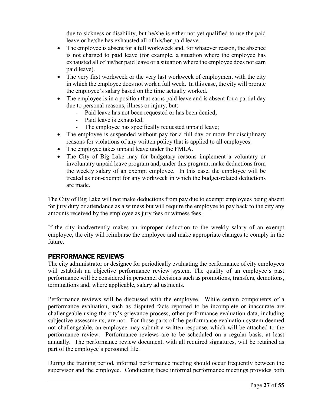due to sickness or disability, but he/she is either not yet qualified to use the paid leave or he/she has exhausted all of his/her paid leave.

- The employee is absent for a full workweek and, for whatever reason, the absence is not charged to paid leave (for example, a situation where the employee has exhausted all of his/her paid leave or a situation where the employee does not earn paid leave).
- The very first workweek or the very last workweek of employment with the city in which the employee does not work a full week. In this case, the city will prorate the employee's salary based on the time actually worked.
- The employee is in a position that earns paid leave and is absent for a partial day due to personal reasons, illness or injury, but:
	- Paid leave has not been requested or has been denied;
	- Paid leave is exhausted;
	- The employee has specifically requested unpaid leave;
- The employee is suspended without pay for a full day or more for disciplinary reasons for violations of any written policy that is applied to all employees.
- The employee takes unpaid leave under the FMLA.
- The City of Big Lake may for budgetary reasons implement a voluntary or involuntary unpaid leave program and, under this program, make deductions from the weekly salary of an exempt employee. In this case, the employee will be treated as non-exempt for any workweek in which the budget-related deductions are made.

The City of Big Lake will not make deductions from pay due to exempt employees being absent for jury duty or attendance as a witness but will require the employee to pay back to the city any amounts received by the employee as jury fees or witness fees.

If the city inadvertently makes an improper deduction to the weekly salary of an exempt employee, the city will reimburse the employee and make appropriate changes to comply in the future.

# <span id="page-26-0"></span>PERFORMANCE REVIEWS

The city administrator or designee for periodically evaluating the performance of city employees will establish an objective performance review system. The quality of an employee's past performance will be considered in personnel decisions such as promotions, transfers, demotions, terminations and, where applicable, salary adjustments.

Performance reviews will be discussed with the employee. While certain components of a performance evaluation, such as disputed facts reported to be incomplete or inaccurate are challengeable using the city's grievance process, other performance evaluation data, including subjective assessments, are not. For those parts of the performance evaluation system deemed not challengeable, an employee may submit a written response, which will be attached to the performance review. Performance reviews are to be scheduled on a regular basis, at least annually. The performance review document, with all required signatures, will be retained as part of the employee's personnel file.

During the training period, informal performance meeting should occur frequently between the supervisor and the employee. Conducting these informal performance meetings provides both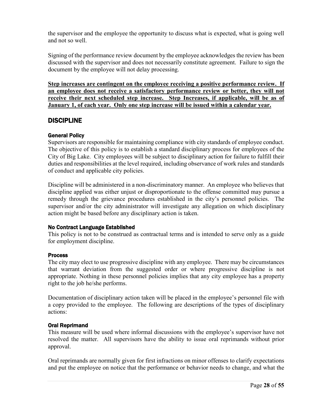the supervisor and the employee the opportunity to discuss what is expected, what is going well and not so well.

Signing of the performance review document by the employee acknowledges the review has been discussed with the supervisor and does not necessarily constitute agreement. Failure to sign the document by the employee will not delay processing.

**Step increases are contingent on the employee receiving a positive performance review. If an employee does not receive a satisfactory performance review or better, they will not receive their next scheduled step increase. Step Increases, if applicable, will be as of January 1, of each year. Only one step increase will be issued within a calendar year.**

# <span id="page-27-0"></span>**DISCIPLINE**

# <span id="page-27-1"></span>General Policy

Supervisors are responsible for maintaining compliance with city standards of employee conduct. The objective of this policy is to establish a standard disciplinary process for employees of the City of Big Lake. City employees will be subject to disciplinary action for failure to fulfill their duties and responsibilities at the level required, including observance of work rules and standards of conduct and applicable city policies.

Discipline will be administered in a non-discriminatory manner. An employee who believes that discipline applied was either unjust or disproportionate to the offense committed may pursue a remedy through the grievance procedures established in the city's personnel policies. The supervisor and/or the city administrator will investigate any allegation on which disciplinary action might be based before any disciplinary action is taken.

# <span id="page-27-2"></span>No Contract Language Established

This policy is not to be construed as contractual terms and is intended to serve only as a guide for employment discipline.

#### <span id="page-27-3"></span>**Process**

The city may elect to use progressive discipline with any employee. There may be circumstances that warrant deviation from the suggested order or where progressive discipline is not appropriate. Nothing in these personnel policies implies that any city employee has a property right to the job he/she performs.

Documentation of disciplinary action taken will be placed in the employee's personnel file with a copy provided to the employee. The following are descriptions of the types of disciplinary actions:

#### <span id="page-27-4"></span>Oral Reprimand

This measure will be used where informal discussions with the employee's supervisor have not resolved the matter. All supervisors have the ability to issue oral reprimands without prior approval.

Oral reprimands are normally given for first infractions on minor offenses to clarify expectations and put the employee on notice that the performance or behavior needs to change, and what the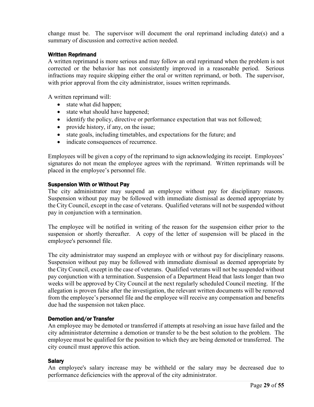change must be. The supervisor will document the oral reprimand including date(s) and a summary of discussion and corrective action needed.

#### <span id="page-28-0"></span>Written Reprimand

A written reprimand is more serious and may follow an oral reprimand when the problem is not corrected or the behavior has not consistently improved in a reasonable period. Serious infractions may require skipping either the oral or written reprimand, or both. The supervisor, with prior approval from the city administrator, issues written reprimands.

A written reprimand will:

- state what did happen;
- state what should have happened;
- identify the policy, directive or performance expectation that was not followed;
- provide history, if any, on the issue;
- state goals, including timetables, and expectations for the future; and
- indicate consequences of recurrence.

Employees will be given a copy of the reprimand to sign acknowledging its receipt. Employees' signatures do not mean the employee agrees with the reprimand. Written reprimands will be placed in the employee's personnel file.

#### <span id="page-28-1"></span>Suspension With or Without Pay

The city administrator may suspend an employee without pay for disciplinary reasons. Suspension without pay may be followed with immediate dismissal as deemed appropriate by the City Council, except in the case of veterans. Qualified veterans will not be suspended without pay in conjunction with a termination.

The employee will be notified in writing of the reason for the suspension either prior to the suspension or shortly thereafter. A copy of the letter of suspension will be placed in the employee's personnel file.

The city administrator may suspend an employee with or without pay for disciplinary reasons. Suspension without pay may be followed with immediate dismissal as deemed appropriate by the City Council, except in the case of veterans. Qualified veterans will not be suspended without pay conjunction with a termination. Suspension of a Department Head that lasts longer than two weeks will be approved by City Council at the next regularly scheduled Council meeting. If the allegation is proven false after the investigation, the relevant written documents will be removed from the employee's personnel file and the employee will receive any compensation and benefits due had the suspension not taken place.

#### <span id="page-28-2"></span>Demotion and/or Transfer

An employee may be demoted or transferred if attempts at resolving an issue have failed and the city administrator determine a demotion or transfer to be the best solution to the problem. The employee must be qualified for the position to which they are being demoted or transferred. The city council must approve this action.

#### <span id="page-28-3"></span>**Salary**

An employee's salary increase may be withheld or the salary may be decreased due to performance deficiencies with the approval of the city administrator.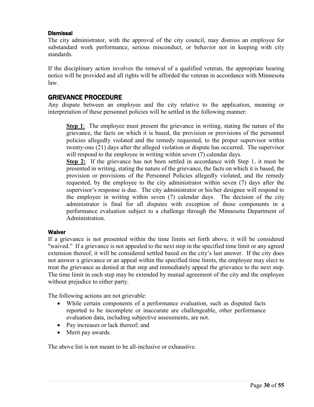#### <span id="page-29-0"></span>**Dismissal**

The city administrator, with the approval of the city council, may dismiss an employee for substandard work performance, serious misconduct, or behavior not in keeping with city standards.

If the disciplinary action involves the removal of a qualified veteran, the appropriate hearing notice will be provided and all rights will be afforded the veteran in accordance with Minnesota law.

# <span id="page-29-1"></span>GRIEVANCE PROCEDURE

Any dispute between an employee and the city relative to the application, meaning or interpretation of these personnel policies will be settled in the following manner:

**Step 1**: The employee must present the grievance in writing, stating the nature of the grievance, the facts on which it is based, the provision or provisions of the personnel policies allegedly violated and the remedy requested, to the proper supervisor within twenty-one (21) days after the alleged violation or dispute has occurred. The supervisor will respond to the employee in writing within seven (7) calendar days.

**Step 2:** If the grievance has not been settled in accordance with Step 1, it must be presented in writing, stating the nature of the grievance, the facts on which it is based, the provision or provisions of the Personnel Policies allegedly violated, and the remedy requested, by the employee to the city administrator within seven (7) days after the supervisor's response is due. The city administrator or his/her designee will respond to the employee in writing within seven (7) calendar days. The decision of the city administrator is final for all disputes with exception of those components in a performance evaluation subject to a challenge through the Minnesota Department of Administration.

#### <span id="page-29-2"></span>**Waiver**

If a grievance is not presented within the time limits set forth above, it will be considered "waived." If a grievance is not appealed to the next step in the specified time limit or any agreed extension thereof, it will be considered settled based on the city's last answer. If the city does not answer a grievance or an appeal within the specified time limits, the employee may elect to treat the grievance as denied at that step and immediately appeal the grievance to the next step. The time limit in each step may be extended by mutual agreement of the city and the employee without prejudice to either party.

The following actions are not grievable:

- While certain components of a performance evaluation, such as disputed facts reported to be incomplete or inaccurate are challengeable, other performance evaluation data, including subjective assessments, are not.
- Pay increases or lack thereof; and
- Merit pay awards.

The above list is not meant to be all-inclusive or exhaustive.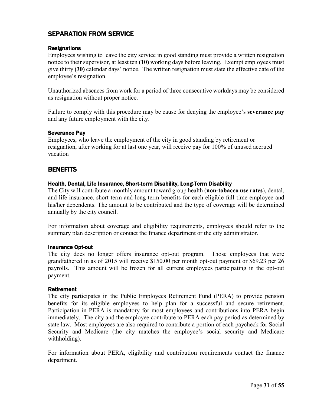# <span id="page-30-0"></span>SEPARATION FROM SERVICE

### <span id="page-30-1"></span>**Resignations**

Employees wishing to leave the city service in good standing must provide a written resignation notice to their supervisor, at least ten **(10)** working days before leaving. Exempt employees must give thirty **(30)** calendar days' notice. The written resignation must state the effective date of the employee's resignation.

Unauthorized absences from work for a period of three consecutive workdays may be considered as resignation without proper notice.

Failure to comply with this procedure may be cause for denying the employee's **severance pay** and any future employment with the city.

#### <span id="page-30-2"></span>Severance Pay

Employees, who leave the employment of the city in good standing by retirement or resignation, after working for at last one year, will receive pay for 100% of unused accrued vacation

# <span id="page-30-3"></span>**BENEFITS**

#### <span id="page-30-4"></span>Health, Dental, Life Insurance, Short-term Disability, Long-Term Disability

The City will contribute a monthly amount toward group health (**non-tobacco use rates**), dental, and life insurance, short-term and long-term benefits for each eligible full time employee and his/her dependents. The amount to be contributed and the type of coverage will be determined annually by the city council.

For information about coverage and eligibility requirements, employees should refer to the summary plan description or contact the finance department or the city administrator.

#### <span id="page-30-5"></span>Insurance Opt-out

The city does no longer offers insurance opt-out program. Those employees that were grandfathered in as of 2015 will receive \$150.00 per month opt-out payment or \$69.23 per 26 payrolls. This amount will be frozen for all current employees participating in the opt-out payment.

#### <span id="page-30-6"></span>Retirement

The city participates in the Public Employees Retirement Fund (PERA) to provide pension benefits for its eligible employees to help plan for a successful and secure retirement. Participation in PERA is mandatory for most employees and contributions into PERA begin immediately. The city and the employee contribute to PERA each pay period as determined by state law. Most employees are also required to contribute a portion of each paycheck for Social Security and Medicare (the city matches the employee's social security and Medicare withholding).

For information about PERA, eligibility and contribution requirements contact the finance department.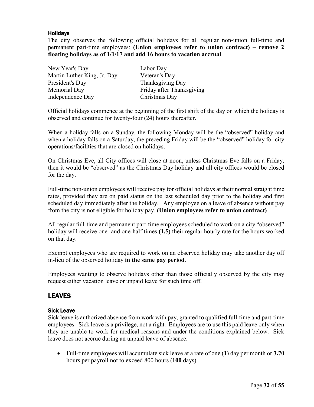# <span id="page-31-0"></span>Holidays

The city observes the following official holidays for all regular non-union full-time and permanent part-time employees: **(Union employees refer to union contract) – remove 2 floating holidays as of 1/1/17 and add 16 hours to vacation accrual**

| New Year's Day              | Labor Day                 |
|-----------------------------|---------------------------|
| Martin Luther King, Jr. Day | Veteran's Day             |
| President's Day             | Thanksgiving Day          |
| Memorial Day                | Friday after Thanksgiving |
| Independence Day            | Christmas Day             |

Official holidays commence at the beginning of the first shift of the day on which the holiday is observed and continue for twenty-four (24) hours thereafter.

When a holiday falls on a Sunday, the following Monday will be the "observed" holiday and when a holiday falls on a Saturday, the preceding Friday will be the "observed" holiday for city operations/facilities that are closed on holidays.

On Christmas Eve, all City offices will close at noon, unless Christmas Eve falls on a Friday, then it would be "observed" as the Christmas Day holiday and all city offices would be closed for the day.

Full-time non-union employees will receive pay for official holidays at their normal straight time rates, provided they are on paid status on the last scheduled day prior to the holiday and first scheduled day immediately after the holiday. Any employee on a leave of absence without pay from the city is not eligible for holiday pay. **(Union employees refer to union contract)**

All regular full-time and permanent part-time employees scheduled to work on a city "observed" holiday will receive one- and one-half times **(1.5)** their regular hourly rate for the hours worked on that day.

Exempt employees who are required to work on an observed holiday may take another day off in-lieu of the observed holiday **in the same pay period**.

Employees wanting to observe holidays other than those officially observed by the city may request either vacation leave or unpaid leave for such time off.

# <span id="page-31-1"></span>LEAVES

# <span id="page-31-2"></span>Sick Leave

Sick leave is authorized absence from work with pay, granted to qualified full-time and part-time employees. Sick leave is a privilege, not a right. Employees are to use this paid leave only when they are unable to work for medical reasons and under the conditions explained below. Sick leave does not accrue during an unpaid leave of absence.

• Full-time employees will accumulate sick leave at a rate of one (**1**) day per month or **3.70** hours per payroll not to exceed 800 hours (**100** days).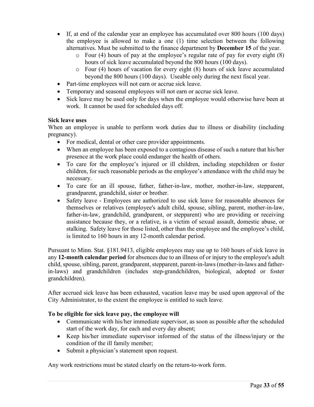- If, at end of the calendar year an employee has accumulated over 800 hours (100 days) the employee is allowed to make a one (1) time selection between the following alternatives. Must be submitted to the finance department by **December 15** of the year.
	- $\circ$  Four (4) hours of pay at the employee's regular rate of pay for every eight (8) hours of sick leave accumulated beyond the 800 hours (100 days).
	- o Four (4) hours of vacation for every eight (8) hours of sick leave accumulated beyond the 800 hours (100 days). Useable only during the next fiscal year.
- Part-time employees will not earn or accrue sick leave.
- Temporary and seasonal employees will not earn or accrue sick leave.
- Sick leave may be used only for days when the employee would otherwise have been at work. It cannot be used for scheduled days off.

#### **Sick leave uses**

When an employee is unable to perform work duties due to illness or disability (including pregnancy).

- For medical, dental or other care provider appointments.
- When an employee has been exposed to a contagious disease of such a nature that his/her presence at the work place could endanger the health of others.
- To care for the employee's injured or ill children, including stepchildren or foster children, for such reasonable periods as the employee's attendance with the child may be necessary.
- To care for an ill spouse, father, father-in-law, mother, mother-in-law, stepparent, grandparent, grandchild, sister or brother.
- Safety leave Employees are authorized to use sick leave for reasonable absences for themselves or relatives (employee's adult child, spouse, sibling, parent, mother-in-law, father-in-law, grandchild, grandparent, or stepparent) who are providing or receiving assistance because they, or a relative, is a victim of sexual assault, domestic abuse, or stalking. Safety leave for those listed, other than the employee and the employee's child, is limited to 160 hours in any 12-month calendar period.

Pursuant to Minn. Stat. §181.9413, eligible employees may use up to 160 hours of sick leave in any **12-month calendar period** for absences due to an illness of or injury to the employee's adult child, spouse, sibling, parent, grandparent, stepparent, parent-in-laws (mother-in-laws and fatherin-laws) and grandchildren (includes step-grandchildren, biological, adopted or foster grandchildren).

After accrued sick leave has been exhausted, vacation leave may be used upon approval of the City Administrator, to the extent the employee is entitled to such leave.

# **To be eligible for sick leave pay, the employee will**

- Communicate with his/her immediate supervisor, as soon as possible after the scheduled start of the work day, for each and every day absent;
- Keep his/her immediate supervisor informed of the status of the illness/injury or the condition of the ill family member;
- Submit a physician's statement upon request.

Any work restrictions must be stated clearly on the return-to-work form.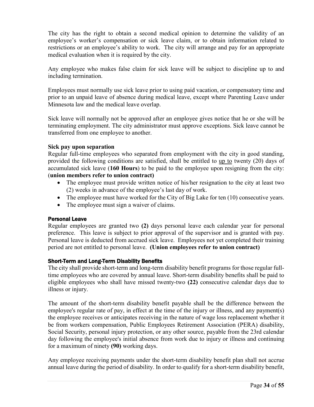The city has the right to obtain a second medical opinion to determine the validity of an employee's worker's compensation or sick leave claim, or to obtain information related to restrictions or an employee's ability to work. The city will arrange and pay for an appropriate medical evaluation when it is required by the city.

Any employee who makes false claim for sick leave will be subject to discipline up to and including termination.

Employees must normally use sick leave prior to using paid vacation, or compensatory time and prior to an unpaid leave of absence during medical leave, except where Parenting Leave under Minnesota law and the medical leave overlap.

Sick leave will normally not be approved after an employee gives notice that he or she will be terminating employment. The city administrator must approve exceptions. Sick leave cannot be transferred from one employee to another.

#### **Sick pay upon separation**

Regular full-time employees who separated from employment with the city in good standing, provided the following conditions are satisfied, shall be entitled to up to twenty (20) days of accumulated sick leave (**160 Hours**) to be paid to the employee upon resigning from the city: (**union members refer to union contract)**

- The employee must provide written notice of his/her resignation to the city at least two (2) weeks in advance of the employee's last day of work.
- The employee must have worked for the City of Big Lake for ten (10) consecutive years.
- The employee must sign a waiver of claims.

# <span id="page-33-0"></span>Personal Leave

Regular employees are granted two **(2)** days personal leave each calendar year for personal preference. This leave is subject to prior approval of the supervisor and is granted with pay. Personal leave is deducted from accrued sick leave. Employees not yet completed their training period are not entitled to personal leave. **(Union employees refer to union contract)**

# <span id="page-33-1"></span>Short-Term and Long-Term Disability Benefits

The city shall provide short-term and long-term disability benefit programs for those regular fulltime employees who are covered by annual leave. Short-term disability benefits shall be paid to eligible employees who shall have missed twenty-two **(22)** consecutive calendar days due to illness or injury.

The amount of the short-term disability benefit payable shall be the difference between the employee's regular rate of pay, in effect at the time of the injury or illness, and any payment(s) the employee receives or anticipates receiving in the nature of wage loss replacement whether it be from workers compensation, Public Employees Retirement Association (PERA) disability, Social Security, personal injury protection, or any other source, payable from the 23rd calendar day following the employee's initial absence from work due to injury or illness and continuing for a maximum of ninety **(90)** working days.

Any employee receiving payments under the short-term disability benefit plan shall not accrue annual leave during the period of disability. In order to qualify for a short-term disability benefit,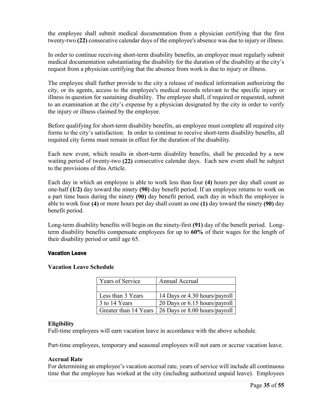the employee shall submit medical documentation from a physician certifying that the first twenty-two **(22)** consecutive calendar days of the employee's absence was due to injury or illness.

In order to continue receiving short-term disability benefits, an employee must regularly submit medical documentation substantiating the disability for the duration of the disability at the city's request from a physician certifying that the absence from work is due to injury or illness.

The employee shall further provide to the city a release of medical information authorizing the city, or its agents, access to the employee's medical records relevant to the specific injury or illness in question for sustaining disability. The employee shall, if required or requested, submit to an examination at the city's expense by a physician designated by the city in order to verify the injury or illness claimed by the employee.

Before qualifying for short-term disability benefits, an employee must complete all required city forms to the city's satisfaction. In order to continue to receive short-term disability benefits, all required city forms must remain in effect for the duration of the disability.

Each new event, which results in short-term disability benefits, shall be preceded by a new waiting period of twenty-two **(22)** consecutive calendar days. Each new event shall be subject to the provisions of this Article.

Each day in which an employee is able to work less than four **(4)** hours per day shall count as one-half **(1/2)** day toward the ninety **(90)** day benefit period. If an employee returns to work on a part time basis during the ninety **(90)** day benefit period, each day in which the employee is able to work four **(4)** or more hours per day shall count as one **(1)** day toward the ninety **(90)** day benefit period.

Long-term disability benefits will begin on the ninety-first **(91)** day of the benefit period. Longterm disability benefits compensate employees for up to **60%** of their wages for the length of their disability period or until age 65.

#### <span id="page-34-0"></span>Vacation Leave

#### **Vacation Leave Schedule**

| Years of Service      | Annual Accrual                |
|-----------------------|-------------------------------|
|                       |                               |
| Less than 3 Years     | 14 Days or 4.30 hours/payroll |
| 3 to 14 Years         | 20 Days or 6.15 hours/payroll |
| Greater than 14 Years | 26 Days or 8.00 hours/payroll |

#### **Eligibility**

Full-time employees will earn vacation leave in accordance with the above schedule.

Part-time employees, temporary and seasonal employees will not earn or accrue vacation leave.

#### **Accrual Rate**

For determining an employee's vacation accrual rate, years of service will include all continuous time that the employee has worked at the city (including authorized unpaid leave). Employees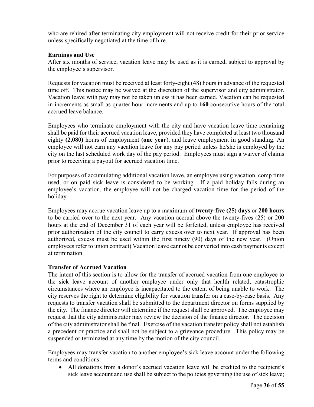who are rehired after terminating city employment will not receive credit for their prior service unless specifically negotiated at the time of hire.

#### **Earnings and Use**

After six months of service, vacation leave may be used as it is earned, subject to approval by the employee's supervisor.

Requests for vacation must be received at least forty-eight (48) hours in advance of the requested time off. This notice may be waived at the discretion of the supervisor and city administrator. Vacation leave with pay may not be taken unless it has been earned. Vacation can be requested in increments as small as quarter hour increments and up to **160** consecutive hours of the total accrued leave balance.

Employees who terminate employment with the city and have vacation leave time remaining shall be paid for their accrued vacation leave, provided they have completed at least two thousand eighty **(2,080)** hours of employment **(one year**), and leave employment in good standing. An employee will not earn any vacation leave for any pay period unless he/she is employed by the city on the last scheduled work day of the pay period. Employees must sign a waiver of claims prior to receiving a payout for accrued vacation time.

For purposes of accumulating additional vacation leave, an employee using vacation, comp time used, or on paid sick leave is considered to be working. If a paid holiday falls during an employee's vacation, the employee will not be charged vacation time for the period of the holiday.

Employees may accrue vacation leave up to a maximum of **twenty-five (25) days** or **200 hours** to be carried over to the next year. Any vacation accrual above the twenty-fives (25) or 200 hours at the end of December 31 of each year will be forfeited, unless employee has received prior authorization of the city council to carry excess over to next year. If approval has been authorized, excess must be used within the first ninety (90) days of the new year. (Union employees refer to union contract) Vacation leave cannot be converted into cash payments except at termination.

#### **Transfer of Accrued Vacation**

The intent of this section is to allow for the transfer of accrued vacation from one employee to the sick leave account of another employee under only that health related, catastrophic circumstances where an employee is incapacitated to the extent of being unable to work. The city reserves the right to determine eligibility for vacation transfer on a case-by-case basis. Any requests to transfer vacation shall be submitted to the department director on forms supplied by the city. The finance director will determine if the request shall be approved. The employee may request that the city administrator may review the decision of the finance director. The decision of the city administrator shall be final. Exercise of the vacation transfer policy shall not establish a precedent or practice and shall not be subject to a grievance procedure. This policy may be suspended or terminated at any time by the motion of the city council.

Employees may transfer vacation to another employee's sick leave account under the following terms and conditions:

• All donations from a donor's accrued vacation leave will be credited to the recipient's sick leave account and use shall be subject to the policies governing the use of sick leave;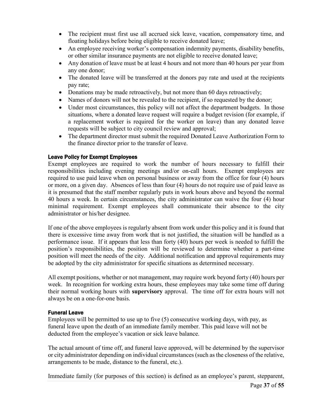- The recipient must first use all accrued sick leave, vacation, compensatory time, and floating holidays before being eligible to receive donated leave;
- An employee receiving worker's compensation indemnity payments, disability benefits, or other similar insurance payments are not eligible to receive donated leave;
- Any donation of leave must be at least 4 hours and not more than 40 hours per year from any one donor;
- The donated leave will be transferred at the donors pay rate and used at the recipients pay rate;
- Donations may be made retroactively, but not more than 60 days retroactively;
- Names of donors will not be revealed to the recipient, if so requested by the donor;
- Under most circumstances, this policy will not affect the department budgets. In those situations, where a donated leave request will require a budget revision (for example, if a replacement worker is required for the worker on leave) than any donated leave requests will be subject to city council review and approval;
- The department director must submit the required Donated Leave Authorization Form to the finance director prior to the transfer of leave.

# <span id="page-36-0"></span>Leave Policy for Exempt Employees

Exempt employees are required to work the number of hours necessary to fulfill their responsibilities including evening meetings and/or on-call hours. Exempt employees are required to use paid leave when on personal business or away from the office for four (4) hours or more, on a given day. Absences of less than four (4) hours do not require use of paid leave as it is presumed that the staff member regularly puts in work hours above and beyond the normal 40 hours a week. In certain circumstances, the city administrator can waive the four (4) hour minimal requirement. Exempt employees shall communicate their absence to the city administrator or his/her designee.

If one of the above employees is regularly absent from work under this policy and it is found that there is excessive time away from work that is not justified, the situation will be handled as a performance issue. If it appears that less than forty (40) hours per week is needed to fulfill the position's responsibilities, the position will be reviewed to determine whether a part-time position will meet the needs of the city. Additional notification and approval requirements may be adopted by the city administrator for specific situations as determined necessary.

All exempt positions, whether or not management, may require work beyond forty (40) hours per week. In recognition for working extra hours, these employees may take some time off during their normal working hours with **supervisory** approval. The time off for extra hours will not always be on a one-for-one basis.

# <span id="page-36-1"></span>Funeral Leave

Employees will be permitted to use up to five (5) consecutive working days, with pay, as funeral leave upon the death of an immediate family member. This paid leave will not be deducted from the employee's vacation or sick leave balance.

The actual amount of time off, and funeral leave approved, will be determined by the supervisor or city administrator depending on individual circumstances (such as the closeness of the relative, arrangements to be made, distance to the funeral, etc.).

Immediate family (for purposes of this section) is defined as an employee's parent, stepparent,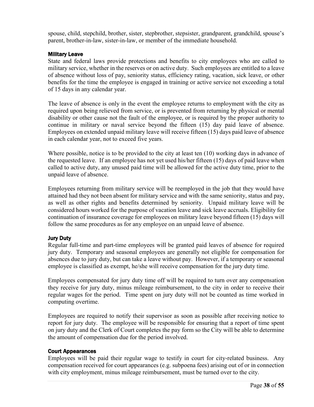spouse, child, stepchild, brother, sister, stepbrother, stepsister, grandparent, grandchild, spouse's parent, brother-in-law, sister-in-law, or member of the immediate household.

#### <span id="page-37-0"></span>Military Leave

State and federal laws provide protections and benefits to city employees who are called to military service, whether in the reserves or on active duty. Such employees are entitled to a leave of absence without loss of pay, seniority status, efficiency rating, vacation, sick leave, or other benefits for the time the employee is engaged in training or active service not exceeding a total of 15 days in any calendar year.

The leave of absence is only in the event the employee returns to employment with the city as required upon being relieved from service, or is prevented from returning by physical or mental disability or other cause not the fault of the employee, or is required by the proper authority to continue in military or naval service beyond the fifteen (15) day paid leave of absence. Employees on extended unpaid military leave will receive fifteen (15) days paid leave of absence in each calendar year, not to exceed five years.

Where possible, notice is to be provided to the city at least ten (10) working days in advance of the requested leave. If an employee has not yet used his/her fifteen (15) days of paid leave when called to active duty, any unused paid time will be allowed for the active duty time, prior to the unpaid leave of absence.

Employees returning from military service will be reemployed in the job that they would have attained had they not been absent for military service and with the same seniority, status and pay, as well as other rights and benefits determined by seniority. Unpaid military leave will be considered hours worked for the purpose of vacation leave and sick leave accruals. Eligibility for continuation of insurance coverage for employees on military leave beyond fifteen (15) days will follow the same procedures as for any employee on an unpaid leave of absence.

# <span id="page-37-1"></span>Jury Duty

Regular full-time and part-time employees will be granted paid leaves of absence for required jury duty. Temporary and seasonal employees are generally not eligible for compensation for absences due to jury duty, but can take a leave without pay. However, if a temporary or seasonal employee is classified as exempt, he/she will receive compensation for the jury duty time.

Employees compensated for jury duty time off will be required to turn over any compensation they receive for jury duty, minus mileage reimbursement, to the city in order to receive their regular wages for the period. Time spent on jury duty will not be counted as time worked in computing overtime.

Employees are required to notify their supervisor as soon as possible after receiving notice to report for jury duty. The employee will be responsible for ensuring that a report of time spent on jury duty and the Clerk of Court completes the pay form so the City will be able to determine the amount of compensation due for the period involved.

#### <span id="page-37-2"></span>Court Appearances

Employees will be paid their regular wage to testify in court for city-related business. Any compensation received for court appearances (e.g. subpoena fees) arising out of or in connection with city employment, minus mileage reimbursement, must be turned over to the city.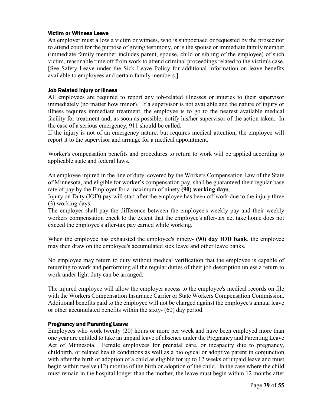#### <span id="page-38-0"></span>Victim or Witness Leave

An employer must allow a victim or witness, who is subpoenaed or requested by the prosecutor to attend court for the purpose of giving testimony, or is the spouse or immediate family member (immediate family member includes parent, spouse, child or sibling of the employee) of such victim, reasonable time off from work to attend criminal proceedings related to the victim's case. [See Safety Leave under the Sick Leave Policy for additional information on leave benefits available to employees and certain family members.]

#### <span id="page-38-1"></span>Job Related Injury or Illness

All employees are required to report any job-related illnesses or injuries to their supervisor immediately (no matter how minor). If a supervisor is not available and the nature of injury or illness requires immediate treatment, the employee is to go to the nearest available medical facility for treatment and, as soon as possible, notify his/her supervisor of the action taken. In the case of a serious emergency, 911 should be called.

If the injury is not of an emergency nature, but requires medical attention, the employee will report it to the supervisor and arrange for a medical appointment.

Worker's compensation benefits and procedures to return to work will be applied according to applicable state and federal laws.

An employee injured in the line of duty, covered by the Workers Compensation Law of the State of Minnesota, and eligible for worker's compensation pay, shall be guaranteed their regular base rate of pay by the Employer for a maximum of ninety **(90) working days**.

Injury on Duty (IOD) pay will start after the employee has been off work due to the injury three (3) working days.

The employer shall pay the difference between the employee's weekly pay and their weekly workers compensation check to the extent that the employee's after-tax net take home does not exceed the employee's after-tax pay earned while working.

When the employee has exhausted the employee's ninety- **(90) day IOD bank**, the employee may then draw on the employee's accumulated sick leave and other leave banks.

No employee may return to duty without medical verification that the employee is capable of returning to work and performing all the regular duties of their job description unless a return to work under light duty can be arranged.

The injured employee will allow the employer access to the employee's medical records on file with the Workers Compensation Insurance Carrier or State Workers Compensation Commission. Additional benefits paid to the employee will not be charged against the employee's annual leave or other accumulated benefits within the sixty- (60) day period.

#### <span id="page-38-2"></span>Pregnancy and Parenting Leave

Employees who work twenty (20) hours or more per week and have been employed more than one year are entitled to take an unpaid leave of absence under the Pregnancy and Parenting Leave Act of Minnesota. Female employees for prenatal care, or incapacity due to pregnancy, childbirth, or related health conditions as well as a biological or adoptive parent in conjunction with after the birth or adoption of a child as eligible for up to 12 weeks of unpaid leave and must begin within twelve (12) months of the birth or adoption of the child. In the case where the child must remain in the hospital longer than the mother, the leave must begin within 12 months after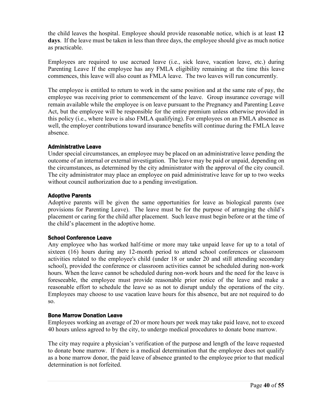the child leaves the hospital. Employee should provide reasonable notice, which is at least **12 days**. If the leave must be taken in less than three days, the employee should give as much notice as practicable.

Employees are required to use accrued leave (i.e., sick leave, vacation leave, etc.) during Parenting Leave If the employee has any FMLA eligibility remaining at the time this leave commences, this leave will also count as FMLA leave. The two leaves will run concurrently.

The employee is entitled to return to work in the same position and at the same rate of pay, the employee was receiving prior to commencement of the leave. Group insurance coverage will remain available while the employee is on leave pursuant to the Pregnancy and Parenting Leave Act, but the employee will be responsible for the entire premium unless otherwise provided in this policy (i.e., where leave is also FMLA qualifying). For employees on an FMLA absence as well, the employer contributions toward insurance benefits will continue during the FMLA leave absence.

#### <span id="page-39-0"></span>Administrative Leave

Under special circumstances, an employee may be placed on an administrative leave pending the outcome of an internal or external investigation. The leave may be paid or unpaid, depending on the circumstances, as determined by the city administrator with the approval of the city council. The city administrator may place an employee on paid administrative leave for up to two weeks without council authorization due to a pending investigation.

#### <span id="page-39-1"></span>Adoptive Parents

Adoptive parents will be given the same opportunities for leave as biological parents (see provisions for Parenting Leave). The leave must be for the purpose of arranging the child's placement or caring for the child after placement. Such leave must begin before or at the time of the child's placement in the adoptive home.

#### <span id="page-39-2"></span>School Conference Leave

Any employee who has worked half-time or more may take unpaid leave for up to a total of sixteen (16) hours during any 12-month period to attend school conferences or classroom activities related to the employee's child (under 18 or under 20 and still attending secondary school), provided the conference or classroom activities cannot be scheduled during non-work hours. When the leave cannot be scheduled during non-work hours and the need for the leave is foreseeable, the employee must provide reasonable prior notice of the leave and make a reasonable effort to schedule the leave so as not to disrupt unduly the operations of the city. Employees may choose to use vacation leave hours for this absence, but are not required to do so.

#### <span id="page-39-3"></span>Bone Marrow Donation Leave

Employees working an average of 20 or more hours per week may take paid leave, not to exceed 40 hours unless agreed to by the city, to undergo medical procedures to donate bone marrow.

The city may require a physician's verification of the purpose and length of the leave requested to donate bone marrow. If there is a medical determination that the employee does not qualify as a bone marrow donor, the paid leave of absence granted to the employee prior to that medical determination is not forfeited.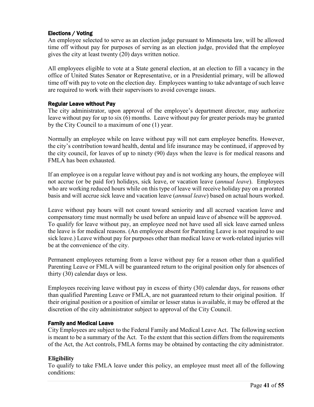# <span id="page-40-0"></span>Elections / Voting

An employee selected to serve as an election judge pursuant to Minnesota law, will be allowed time off without pay for purposes of serving as an election judge, provided that the employee gives the city at least twenty (20) days written notice.

All employees eligible to vote at a State general election, at an election to fill a vacancy in the office of United States Senator or Representative, or in a Presidential primary, will be allowed time off with pay to vote on the election day. Employees wanting to take advantage of such leave are required to work with their supervisors to avoid coverage issues.

#### <span id="page-40-1"></span>Regular Leave without Pay

The city administrator, upon approval of the employee's department director, may authorize leave without pay for up to six (6) months. Leave without pay for greater periods may be granted by the City Council to a maximum of one (1) year.

Normally an employee while on leave without pay will not earn employee benefits. However, the city's contribution toward health, dental and life insurance may be continued, if approved by the city council, for leaves of up to ninety (90) days when the leave is for medical reasons and FMLA has been exhausted.

If an employee is on a regular leave without pay and is not working any hours, the employee will not accrue (or be paid for) holidays, sick leave, or vacation leave (*annual leave*). Employees who are working reduced hours while on this type of leave will receive holiday pay on a prorated basis and will accrue sick leave and vacation leave (*annual leave*) based on actual hours worked.

Leave without pay hours will not count toward seniority and all accrued vacation leave and compensatory time must normally be used before an unpaid leave of absence will be approved. To qualify for leave without pay, an employee need not have used all sick leave earned unless the leave is for medical reasons. (An employee absent for Parenting Leave is not required to use sick leave.) Leave without pay for purposes other than medical leave or work-related injuries will be at the convenience of the city.

Permanent employees returning from a leave without pay for a reason other than a qualified Parenting Leave or FMLA will be guaranteed return to the original position only for absences of thirty (30) calendar days or less.

Employees receiving leave without pay in excess of thirty (30) calendar days, for reasons other than qualified Parenting Leave or FMLA, are not guaranteed return to their original position. If their original position or a position of similar or lesser status is available, it may be offered at the discretion of the city administrator subject to approval of the City Council.

# <span id="page-40-2"></span>Family and Medical Leave

City Employees are subject to the Federal Family and Medical Leave Act. The following section is meant to be a summary of the Act. To the extent that this section differs from the requirements of the Act, the Act controls, FMLA forms may be obtained by contacting the city administrator.

# **Eligibility**

To qualify to take FMLA leave under this policy, an employee must meet all of the following conditions: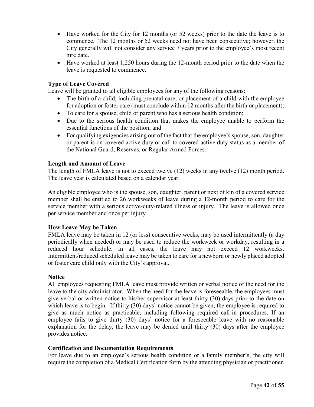- Have worked for the City for 12 months (or 52 weeks) prior to the date the leave is to commence. The 12 months or 52 weeks need not have been consecutive; however, the City generally will not consider any service 7 years prior to the employee's most recent hire date.
- Have worked at least 1,250 hours during the 12-month period prior to the date when the leave is requested to commence.

### **Type of Leave Covered**

Leave will be granted to all eligible employees for any of the following reasons:

- The birth of a child, including prenatal care, or placement of a child with the employee for adoption or foster care (must conclude within 12 months after the birth or placement);
- To care for a spouse, child or parent who has a serious health condition;
- Due to the serious health condition that makes the employee unable to perform the essential functions of the position; and
- For qualifying exigencies arising out of the fact that the employee's spouse, son, daughter or parent is on covered active duty or call to covered active duty status as a member of the National Guard, Reserves, or Regular Armed Forces.

#### **Length and Amount of Leave**

The length of FMLA leave is not to exceed twelve (12) weeks in any twelve (12) month period. The leave year is calculated based on a calendar year.

An eligible employee who is the spouse, son, daughter, parent or next of kin of a covered service member shall be entitled to 26 workweeks of leave during a 12-month period to care for the service member with a serious active-duty-related illness or injury. The leave is allowed once per service member and once per injury.

#### **How Leave May be Taken**

FMLA leave may be taken in 12 (or less) consecutive weeks, may be used intermittently (a day periodically when needed) or may be used to reduce the workweek or workday, resulting in a reduced hour schedule. In all cases, the leave may not exceed 12 workweeks. Intermittent/reduced scheduled leave may be taken to care for a newborn or newly placed adopted or foster care child only with the City's approval.

#### **Notice**

All employees requesting FMLA leave must provide written or verbal notice of the need for the leave to the city administrator. When the need for the leave is foreseeable, the employees must give verbal or written notice to his/her supervisor at least thirty (30) days prior to the date on which leave is to begin. If thirty (30) days' notice cannot be given, the employee is required to give as much notice as practicable, including following required call-in procedures. If an employee fails to give thirty (30) days' notice for a foreseeable leave with no reasonable explanation for the delay, the leave may be denied until thirty (30) days after the employee provides notice.

#### **Certification and Documentation Requirements**

For leave due to an employee's serious health condition or a family member's, the city will require the completion of a Medical Certification form by the attending physician or practitioner.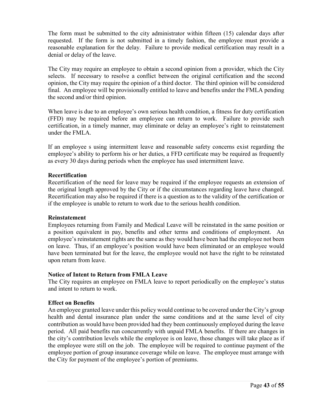The form must be submitted to the city administrator within fifteen (15) calendar days after requested. If the form is not submitted in a timely fashion, the employee must provide a reasonable explanation for the delay. Failure to provide medical certification may result in a denial or delay of the leave.

The City may require an employee to obtain a second opinion from a provider, which the City selects. If necessary to resolve a conflict between the original certification and the second opinion, the City may require the opinion of a third doctor. The third opinion will be considered final. An employee will be provisionally entitled to leave and benefits under the FMLA pending the second and/or third opinion.

When leave is due to an employee's own serious health condition, a fitness for duty certification (FFD) may be required before an employee can return to work. Failure to provide such certification, in a timely manner, may eliminate or delay an employee's right to reinstatement under the FMLA.

If an employee s using intermittent leave and reasonable safety concerns exist regarding the employee's ability to perform his or her duties, a FFD certificate may be required as frequently as every 30 days during periods when the employee has used intermittent leave.

#### **Recertification**

Recertification of the need for leave may be required if the employee requests an extension of the original length approved by the City or if the circumstances regarding leave have changed. Recertification may also be required if there is a question as to the validity of the certification or if the employee is unable to return to work due to the serious health condition.

#### **Reinstatement**

Employees returning from Family and Medical Leave will be reinstated in the same position or a position equivalent in pay, benefits and other terms and conditions of employment. An employee's reinstatement rights are the same as they would have been had the employee not been on leave. Thus, if an employee's position would have been eliminated or an employee would have been terminated but for the leave, the employee would not have the right to be reinstated upon return from leave.

#### **Notice of Intent to Return from FMLA Leave**

The City requires an employee on FMLA leave to report periodically on the employee's status and intent to return to work.

# **Effect on Benefits**

An employee granted leave under this policy would continue to be covered under the City's group health and dental insurance plan under the same conditions and at the same level of city contribution as would have been provided had they been continuously employed during the leave period. All paid benefits run concurrently with unpaid FMLA benefits. If there are changes in the city's contribution levels while the employee is on leave, those changes will take place as if the employee were still on the job. The employee will be required to continue payment of the employee portion of group insurance coverage while on leave. The employee must arrange with the City for payment of the employee's portion of premiums.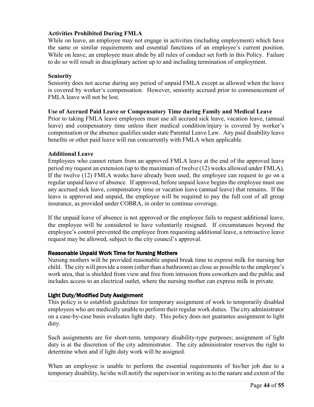# **Activities Prohibited During FMLA**

While on leave, an employee may not engage in activities (including employment) which have the same or similar requirements and essential functions of an employee's current position. While on leave, an employee must abide by all rules of conduct set forth in this Policy. Failure to do so will result in disciplinary action up to and including termination of employment.

# **Seniority**

Seniority does not accrue during any period of unpaid FMLA except as allowed when the leave is covered by worker's compensation. However, seniority accrued prior to commencement of FMLA leave will not be lost.

# **Use of Accrued Paid Leave or Compensatory Time during Family and Medical Leave**

Prior to taking FMLA leave employees must use all accrued sick leave, vacation leave, (annual leave) and compensatory time unless their medical condition/injury is covered by worker's compensation or the absence qualifies under state Parental Leave Law. Any paid disability leave benefits or other paid leave will run concurrently with FMLA when applicable.

# **Additional Leave**

Employees who cannot return from an approved FMLA leave at the end of the approved leave period my request an extension (up to the maximum of twelve (12) weeks allowed under FMLA). If the twelve (12) FMLA weeks have already been used, the employee can request to go on a regular unpaid leave of absence. If approved, before unpaid leave begins the employee must use any accrued sick leave, compensatory time or vacation leave (annual leave) that remains. If the leave is approved and unpaid, the employee will be required to pay the full cost of all group insurance, as provided under COBRA, in order to continue coverage.

If the unpaid leave of absence is not approved or the employee fails to request additional leave, the employee will be considered to have voluntarily resigned. If circumstances beyond the employee's control prevented the employee from requesting additional leave, a retroactive leave request may be allowed, subject to the city council's approval.

# <span id="page-43-0"></span>Reasonable Unpaid Work Time for Nursing Mothers

Nursing mothers will be provided reasonable unpaid break time to express milk for nursing her child. The city will provide a room (other than a bathroom) as close as possible to the employee's work area, that is shielded from view and free from intrusion from coworkers and the public and includes access to an electrical outlet, where the nursing mother can express milk in private.

# <span id="page-43-1"></span>Light Duty/Modified Duty Assignment

This policy is to establish guidelines for temporary assignment of work to temporarily disabled employees who are medically unable to perform their regular work duties. The city administrator on a case-by-case basis evaluates light duty. This policy does not guarantee assignment to light duty.

Such assignments are for short-term, temporary disability-type purposes; assignment of light duty is at the discretion of the city administrator. The city administrator reserves the right to determine when and if light duty work will be assigned.

When an employee is unable to perform the essential requirements of his/her job due to a temporary disability, he/she will notify the supervisor in writing as to the nature and extent of the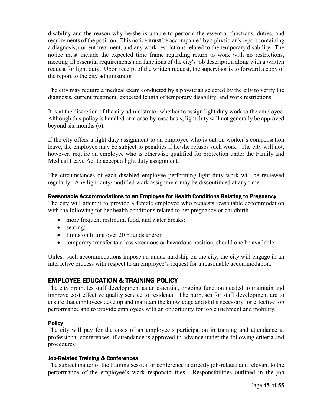disability and the reason why he/she is unable to perform the essential functions, duties, and requirements of the position. This notice **must** be accompanied by a physician's report containing a diagnosis, current treatment, and any work restrictions related to the temporary disability. The notice must include the expected time frame regarding return to work with no restrictions, meeting all essential requirements and functions of the city's job description along with a written request for light duty. Upon receipt of the written request, the supervisor is to forward a copy of the report to the city administrator.

The city may require a medical exam conducted by a physician selected by the city to verify the diagnosis, current treatment, expected length of temporary disability, and work restrictions.

It is at the discretion of the city administrator whether to assign light duty work to the employee. Although this policy is handled on a case-by-case basis, light duty will not generally be approved beyond six months (6).

If the city offers a light duty assignment to an employee who is out on worker's compensation leave, the employee may be subject to penalties if he/she refuses such work. The city will not, however, require an employee who is otherwise qualified for protection under the Family and Medical Leave Act to accept a light duty assignment.

The circumstances of each disabled employee performing light duty work will be reviewed regularly. Any light duty/modified work assignment may be discontinued at any time.

# <span id="page-44-0"></span>Reasonable Accommodations to an Employee for Health Conditions Relating to Pregnancy

The city will attempt to provide a female employee who requests reasonable accommodation with the following for her health conditions related to her pregnancy or childbirth.

- more frequent restroom, food, and water breaks;
- seating;
- limits on lifting over 20 pounds and/or
- temporary transfer to a less strenuous or hazardous position, should one be available.

Unless such accommodations impose an undue hardship on the city, the city will engage in an interactive process with respect to an employee's request for a reasonable accommodation.

# <span id="page-44-1"></span>EMPLOYEE EDUCATION & TRAINING POLICY

The city promotes staff development as an essential, ongoing function needed to maintain and improve cost effective quality service to residents. The purposes for staff development are to ensure that employees develop and maintain the knowledge and skills necessary for effective job performance and to provide employees with an opportunity for job enrichment and mobility.

# <span id="page-44-2"></span>**Policy**

The city will pay for the costs of an employee's participation in training and attendance at professional conferences, if attendance is approved in advance under the following criteria and procedures:

# <span id="page-44-3"></span>Job-Related Training & Conferences

The subject matter of the training session or conference is directly job-related and relevant to the performance of the employee's work responsibilities. Responsibilities outlined in the job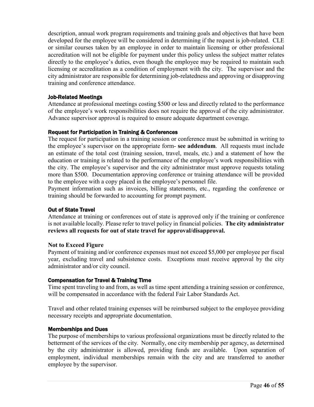description, annual work program requirements and training goals and objectives that have been developed for the employee will be considered in determining if the request is job-related. CLE or similar courses taken by an employee in order to maintain licensing or other professional accreditation will not be eligible for payment under this policy unless the subject matter relates directly to the employee's duties, even though the employee may be required to maintain such licensing or accreditation as a condition of employment with the city. The supervisor and the city administrator are responsible for determining job-relatedness and approving or disapproving training and conference attendance.

#### <span id="page-45-0"></span>Job-Related Meetings

Attendance at professional meetings costing \$500 or less and directly related to the performance of the employee's work responsibilities does not require the approval of the city administrator. Advance supervisor approval is required to ensure adequate department coverage.

#### <span id="page-45-1"></span>Request for Participation in Training & Conferences

The request for participation in a training session or conference must be submitted in writing to the employee's supervisor on the appropriate form- **see addendum**. All requests must include an estimate of the total cost (training session, travel, meals, etc.) and a statement of how the education or training is related to the performance of the employee's work responsibilities with the city. The employee's supervisor and the city administrator must approve requests totaling more than \$500. Documentation approving conference or training attendance will be provided to the employee with a copy placed in the employee's personnel file.

Payment information such as invoices, billing statements, etc., regarding the conference or training should be forwarded to accounting for prompt payment.

#### <span id="page-45-2"></span>Out of State Travel

Attendance at training or conferences out of state is approved only if the training or conference is not available locally. Please refer to travel policy in financial policies. **The city administrator reviews all requests for out of state travel for approval/disapproval.**

#### **Not to Exceed Figure**

Payment of training and/or conference expenses must not exceed \$5,000 per employee per fiscal year, excluding travel and subsistence costs. Exceptions must receive approval by the city administrator and/or city council.

# <span id="page-45-3"></span>Compensation for Travel & Training Time

Time spent traveling to and from, as well as time spent attending a training session or conference, will be compensated in accordance with the federal Fair Labor Standards Act.

Travel and other related training expenses will be reimbursed subject to the employee providing necessary receipts and appropriate documentation.

#### <span id="page-45-4"></span>Memberships and Dues

The purpose of memberships to various professional organizations must be directly related to the betterment of the services of the city. Normally, one city membership per agency, as determined by the city administrator is allowed, providing funds are available. Upon separation of employment, individual memberships remain with the city and are transferred to another employee by the supervisor.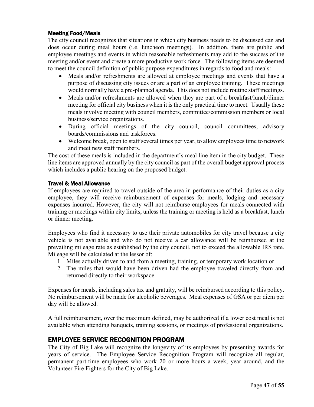# <span id="page-46-0"></span>Meeting Food/Meals

The city council recognizes that situations in which city business needs to be discussed can and does occur during meal hours (i.e. luncheon meetings). In addition, there are public and employee meetings and events in which reasonable refreshments may add to the success of the meeting and/or event and create a more productive work force. The following items are deemed to meet the council definition of public purpose expenditures in regards to food and meals:

- Meals and/or refreshments are allowed at employee meetings and events that have a purpose of discussing city issues or are a part of an employee training. These meetings would normally have a pre-planned agenda. This does not include routine staff meetings.
- Meals and/or refreshments are allowed when they are part of a breakfast/lunch/dinner meeting for official city business when it is the only practical time to meet. Usually these meals involve meeting with council members, committee/commission members or local business/service organizations.
- During official meetings of the city council, council committees, advisory boards/commissions and taskforces.
- Welcome break, open to staff several times per year, to allow employees time to network and meet new staff members.

The cost of these meals is included in the department's meal line item in the city budget. These line items are approved annually by the city council as part of the overall budget approval process which includes a public hearing on the proposed budget.

#### <span id="page-46-1"></span>Travel & Meal Allowance

If employees are required to travel outside of the area in performance of their duties as a city employee, they will receive reimbursement of expenses for meals, lodging and necessary expenses incurred. However, the city will not reimburse employees for meals connected with training or meetings within city limits, unless the training or meeting is held as a breakfast, lunch or dinner meeting.

Employees who find it necessary to use their private automobiles for city travel because a city vehicle is not available and who do not receive a car allowance will be reimbursed at the prevailing mileage rate as established by the city council, not to exceed the allowable IRS rate. Mileage will be calculated at the lessor of:

- 1. Miles actually driven to and from a meeting, training, or temporary work location or
- 2. The miles that would have been driven had the employee traveled directly from and returned directly to their workspace.

Expenses for meals, including sales tax and gratuity, will be reimbursed according to this policy. No reimbursement will be made for alcoholic beverages. Meal expenses of GSA or per diem per day will be allowed.

A full reimbursement, over the maximum defined, may be authorized if a lower cost meal is not available when attending banquets, training sessions, or meetings of professional organizations.

# <span id="page-46-2"></span>EMPLOYEE SERVICE RECOGNITION PROGRAM

The City of Big Lake will recognize the longevity of its employees by presenting awards for years of service. The Employee Service Recognition Program will recognize all regular, permanent part-time employees who work 20 or more hours a week, year around, and the Volunteer Fire Fighters for the City of Big Lake.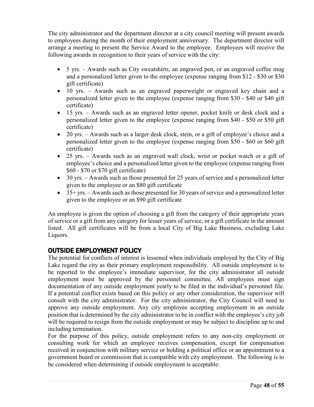The city administrator and the department director at a city council meeting will present awards to employees during the month of their employment anniversary. The department director will arrange a meeting to present the Service Award to the employee. Employees will receive the following awards in recognition to their years of service with the city:

- 5 yrs. Awards such as City sweatshirts, an engraved pen, or an engraved coffee mug and a personalized letter given to the employee (expense ranging from \$12 - \$30 or \$30 gift certificate)
- 10 yrs. Awards such as an engraved paperweight or engraved key chain and a personalized letter given to the employee (expense ranging from \$30 - \$40 or \$40 gift certificate)
- 15 yrs. Awards such as an engraved letter opener, pocket knife or desk clock and a personalized letter given to the employee (expense ranging from \$40 - \$50 or \$50 gift certificate)
- 20 yrs. Awards such as a larger desk clock, stein, or a gift of employee's choice and a personalized letter given to the employee (expense ranging from \$50 - \$60 or \$60 gift certificate)
- 25 yrs. Awards such as an engraved wall clock, wrist or pocket watch or a gift of employee's choice and a personalized letter given to the employee (expense ranging from \$60 - \$70 or \$70 gift certificate)
- 30 yrs. Awards such as those presented for 25 years of service and a personalized letter given to the employee or an \$80 gift certificate
- $\bullet$  35+ yrs. Awards such as those presented for 30 years of service and a personalized letter given to the employee or an \$90 gift certificate

An employee is given the option of choosing a gift from the category of their appropriate years of service or a gift from any category for lesser years of service, or a gift certificate in the amount listed. All gift certificates will be from a local City of Big Lake Business, excluding Lake Liquors.

# <span id="page-47-0"></span>OUTSIDE EMPLOYMENT POLICY

The potential for conflicts of interest is lessened when individuals employed by the City of Big Lake regard the city as their primary employment responsibility. All outside employment is to be reported to the employee's immediate supervisor, for the city administrator all outside employment must be approved by the personnel committee. All employees must sign documentation of any outside employment yearly to be filed in the individual's personnel file. If a potential conflict exists based on this policy or any other consideration, the supervisor will consult with the city administrator. For the city administrator, the City Council will need to approve any outside employment. Any city employee accepting employment in an outside position that is determined by the city administrator to be in conflict with the employee's city job will be required to resign from the outside employment or may be subject to discipline up to and including termination.

For the purpose of this policy, outside employment refers to any non-city employment or consulting work for which an employee receives compensation, except for compensation received in conjunction with military service or holding a political office or an appointment to a government board or commission that is compatible with city employment. The following is to be considered when determining if outside employment is acceptable: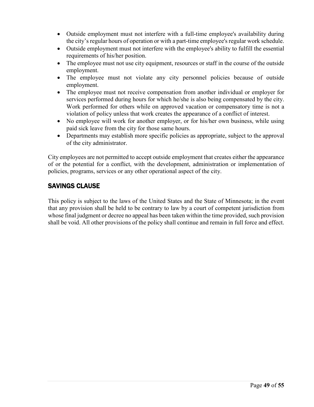- Outside employment must not interfere with a full-time employee's availability during the city's regular hours of operation or with a part-time employee's regular work schedule.
- Outside employment must not interfere with the employee's ability to fulfill the essential requirements of his/her position.
- The employee must not use city equipment, resources or staff in the course of the outside employment.
- The employee must not violate any city personnel policies because of outside employment.
- The employee must not receive compensation from another individual or employer for services performed during hours for which he/she is also being compensated by the city. Work performed for others while on approved vacation or compensatory time is not a violation of policy unless that work creates the appearance of a conflict of interest.
- No employee will work for another employer, or for his/her own business, while using paid sick leave from the city for those same hours.
- Departments may establish more specific policies as appropriate, subject to the approval of the city administrator.

City employees are not permitted to accept outside employment that creates either the appearance of or the potential for a conflict, with the development, administration or implementation of policies, programs, services or any other operational aspect of the city.

# <span id="page-48-0"></span>SAVINGS CLAUSE

This policy is subject to the laws of the United States and the State of Minnesota; in the event that any provision shall be held to be contrary to law by a court of competent jurisdiction from whose final judgment or decree no appeal has been taken within the time provided, such provision shall be void. All other provisions of the policy shall continue and remain in full force and effect.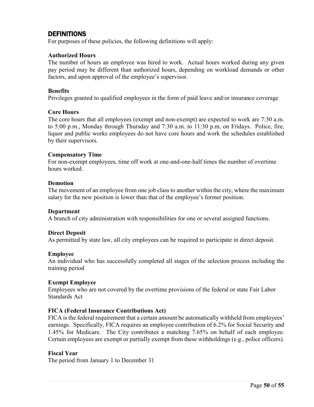# <span id="page-49-0"></span>DEFINITIONS

For purposes of these policies, the following definitions will apply:

#### **Authorized Hours**

The number of hours an employee was hired to work. Actual hours worked during any given pay period may be different than authorized hours, depending on workload demands or other factors, and upon approval of the employee's supervisor.

#### **Benefits**

Privileges granted to qualified employees in the form of paid leave and/or insurance coverage

#### **Core Hours**

The core hours that all employees (exempt and non-exempt) are expected to work are 7:30 a.m. to 5:00 p.m., Monday through Thursday and 7:30 a.m. to 11:30 p.m. on Fridays. Police, fire, liquor and public works employees do not have core hours and work the schedules established by their supervisors.

#### **Compensatory Time**

For non-exempt employees, time off work at one-and-one-half times the number of overtime hours worked.

#### **Demotion**

The movement of an employee from one job class to another within the city, where the maximum salary for the new position is lower than that of the employee's former position.

#### **Department**

A branch of city administration with responsibilities for one or several assigned functions.

#### **Direct Deposit**

As permitted by state law, all city employees can be required to participate in direct deposit.

#### **Employee**

An individual who has successfully completed all stages of the selection process including the training period

#### **Exempt Employee**

Employees who are not covered by the overtime provisions of the federal or state Fair Labor Standards Act

#### **FICA (Federal Insurance Contributions Act)**

FICA is the federal requirement that a certain amount be automatically withheld from employees' earnings. Specifically, FICA requires an employee contribution of 6.2% for Social Security and 1.45% for Medicare. The City contributes a matching 7.65% on behalf of each employee. Certain employees are exempt or partially exempt from these withholdings (e.g., police officers).

#### **Fiscal Year**

The period from January 1 to December 31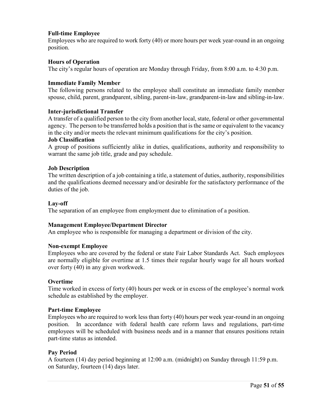# **Full-time Employee**

Employees who are required to work forty (40) or more hours per week year-round in an ongoing position.

#### **Hours of Operation**

The city's regular hours of operation are Monday through Friday, from 8:00 a.m. to 4:30 p.m.

#### **Immediate Family Member**

The following persons related to the employee shall constitute an immediate family member spouse, child, parent, grandparent, sibling, parent-in-law, grandparent-in-law and sibling-in-law.

#### **Inter-jurisdictional Transfer**

A transfer of a qualified person to the city from another local, state, federal or other governmental agency. The person to be transferred holds a position that is the same or equivalent to the vacancy in the city and/or meets the relevant minimum qualifications for the city's position.

#### **Job Classification**

A group of positions sufficiently alike in duties, qualifications, authority and responsibility to warrant the same job title, grade and pay schedule.

#### **Job Description**

The written description of a job containing a title, a statement of duties, authority, responsibilities and the qualifications deemed necessary and/or desirable for the satisfactory performance of the duties of the job.

#### **Lay-off**

The separation of an employee from employment due to elimination of a position.

#### **Management Employee/Department Director**

An employee who is responsible for managing a department or division of the city.

#### **Non-exempt Employee**

Employees who are covered by the federal or state Fair Labor Standards Act. Such employees are normally eligible for overtime at 1.5 times their regular hourly wage for all hours worked over forty (40) in any given workweek.

#### **Overtime**

Time worked in excess of forty (40) hours per week or in excess of the employee's normal work schedule as established by the employer.

#### **Part-time Employee**

Employees who are required to work less than forty (40) hours per week year-round in an ongoing position. In accordance with federal health care reform laws and regulations, part-time employees will be scheduled with business needs and in a manner that ensures positions retain part-time status as intended.

#### **Pay Period**

A fourteen (14) day period beginning at 12:00 a.m. (midnight) on Sunday through 11:59 p.m. on Saturday, fourteen (14) days later.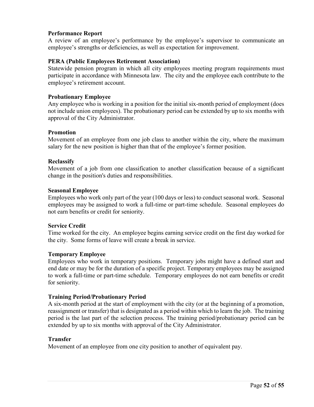### **Performance Report**

A review of an employee's performance by the employee's supervisor to communicate an employee's strengths or deficiencies, as well as expectation for improvement.

#### **PERA (Public Employees Retirement Association)**

Statewide pension program in which all city employees meeting program requirements must participate in accordance with Minnesota law. The city and the employee each contribute to the employee's retirement account.

#### **Probationary Employee**

Any employee who is working in a position for the initial six-month period of employment (does not include union employees). The probationary period can be extended by up to six months with approval of the City Administrator.

#### **Promotion**

Movement of an employee from one job class to another within the city, where the maximum salary for the new position is higher than that of the employee's former position.

#### **Reclassify**

Movement of a job from one classification to another classification because of a significant change in the position's duties and responsibilities.

#### **Seasonal Employee**

Employees who work only part of the year (100 days or less) to conduct seasonal work. Seasonal employees may be assigned to work a full-time or part-time schedule. Seasonal employees do not earn benefits or credit for seniority.

#### **Service Credit**

Time worked for the city. An employee begins earning service credit on the first day worked for the city. Some forms of leave will create a break in service.

#### **Temporary Employee**

Employees who work in temporary positions. Temporary jobs might have a defined start and end date or may be for the duration of a specific project. Temporary employees may be assigned to work a full-time or part-time schedule. Temporary employees do not earn benefits or credit for seniority.

#### **Training Period/Probationary Period**

A six-month period at the start of employment with the city (or at the beginning of a promotion, reassignment or transfer) that is designated as a period within which to learn the job. The training period is the last part of the selection process. The training period/probationary period can be extended by up to six months with approval of the City Administrator.

#### **Transfer**

Movement of an employee from one city position to another of equivalent pay.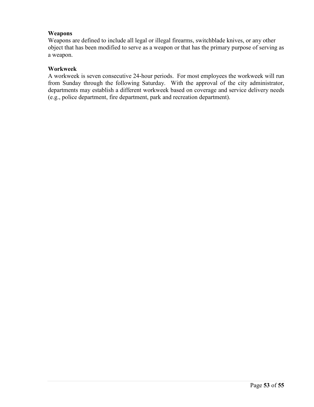# **Weapons**

Weapons are defined to include all legal or illegal firearms, switchblade knives, or any other object that has been modified to serve as a weapon or that has the primary purpose of serving as a weapon.

# **Workweek**

A workweek is seven consecutive 24-hour periods. For most employees the workweek will run from Sunday through the following Saturday. With the approval of the city administrator, departments may establish a different workweek based on coverage and service delivery needs (e.g., police department, fire department, park and recreation department).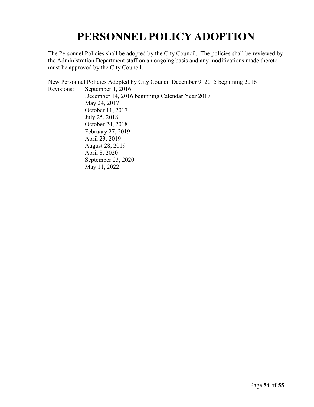# **PERSONNEL POLICY ADOPTION**

<span id="page-53-0"></span>The Personnel Policies shall be adopted by the City Council. The policies shall be reviewed by the Administration Department staff on an ongoing basis and any modifications made thereto must be approved by the City Council.

New Personnel Policies Adopted by City Council December 9, 2015 beginning 2016 Revisions: September 1, 2016 December 14, 2016 beginning Calendar Year 2017 May 24, 2017 October 11, 2017 July 25, 2018 October 24, 2018 February 27, 2019 April 23, 2019 August 28, 2019 April 8, 2020 September 23, 2020 May 11, 2022